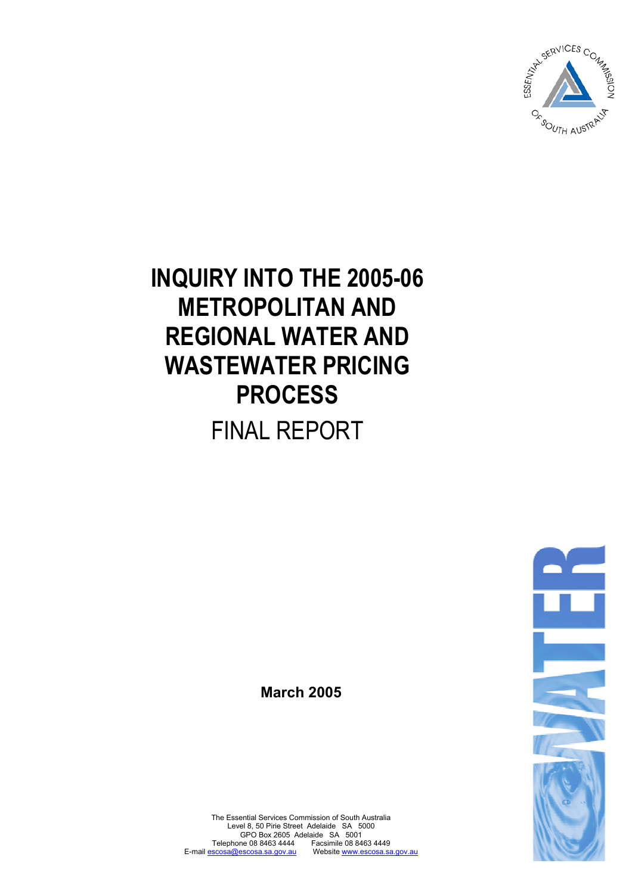

**INQUIRY INTO THE 2005-06 METROPOLITAN AND REGIONAL WATER AND WASTEWATER PRICING PROCESS**  FINAL REPORT

**March 2005** 



The Essential Services Commission of South Australia Level 8, 50 Pirie Street Adelaide SA 5000 GPO Box 2605 Adelaide SA 5001 Telephone 08 8463 4444 Facsimile 08 8463 4449<br>scosa@escosa.sa.gov.au Website www.escosa.sa.gov.au E-mail escosa@escosa.sa.gov.au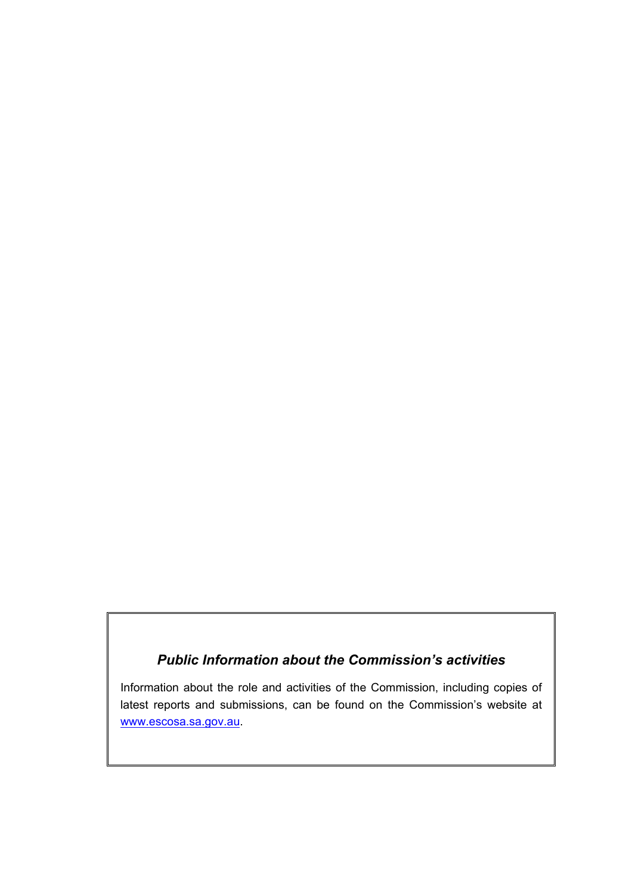# *Public Information about the Commission's activities*

Information about the role and activities of the Commission, including copies of latest reports and submissions, can be found on the Commission's website at www.escosa.sa.gov.au.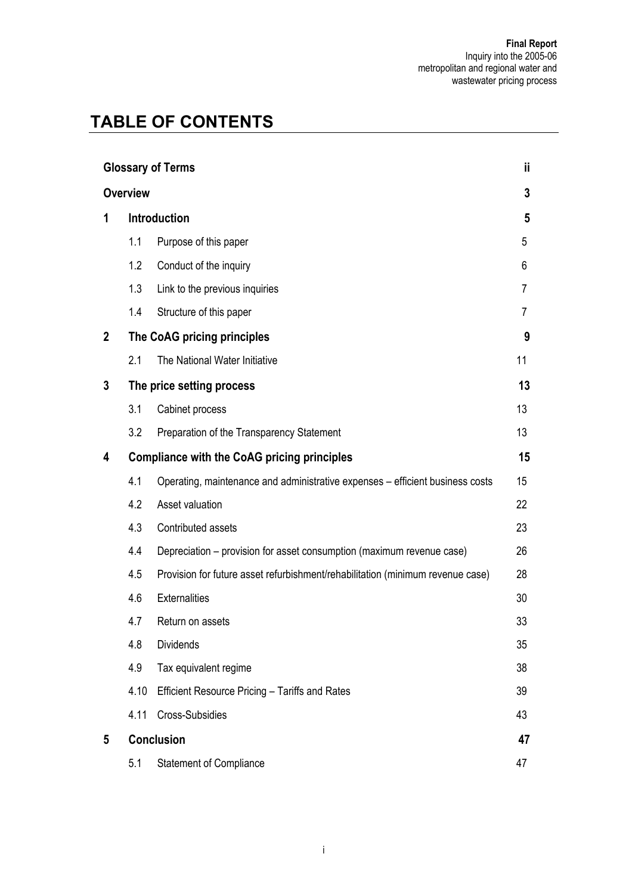# **TABLE OF CONTENTS**

| <b>Glossary of Terms</b> |                             |                                                                                |    |
|--------------------------|-----------------------------|--------------------------------------------------------------------------------|----|
| <b>Overview</b>          |                             |                                                                                | 3  |
| 1                        | <b>Introduction</b>         |                                                                                | 5  |
|                          | 1.1                         | Purpose of this paper                                                          | 5  |
|                          | 1.2                         | Conduct of the inquiry                                                         | 6  |
|                          | 1.3                         | Link to the previous inquiries                                                 | 7  |
|                          | 1.4                         | Structure of this paper                                                        | 7  |
| $\mathbf{2}$             | The CoAG pricing principles |                                                                                |    |
|                          | 2.1                         | The National Water Initiative                                                  | 11 |
| 3                        | The price setting process   |                                                                                |    |
|                          | 3.1                         | Cabinet process                                                                | 13 |
|                          | 3.2                         | Preparation of the Transparency Statement                                      | 13 |
| 4                        |                             | <b>Compliance with the CoAG pricing principles</b>                             | 15 |
|                          | 4.1                         | Operating, maintenance and administrative expenses - efficient business costs  | 15 |
|                          | 4.2                         | Asset valuation                                                                | 22 |
|                          | 4.3                         | Contributed assets                                                             | 23 |
|                          | 4.4                         | Depreciation – provision for asset consumption (maximum revenue case)          | 26 |
|                          | 4.5                         | Provision for future asset refurbishment/rehabilitation (minimum revenue case) | 28 |
|                          | 4.6                         | <b>Externalities</b>                                                           | 30 |
|                          | 4.7                         | Return on assets                                                               | 33 |
|                          | 4.8                         | <b>Dividends</b>                                                               | 35 |
|                          | 4.9                         | Tax equivalent regime                                                          | 38 |
|                          | 4.10                        | Efficient Resource Pricing - Tariffs and Rates                                 | 39 |
|                          | 4.11                        | Cross-Subsidies                                                                | 43 |
| 5                        | Conclusion                  |                                                                                |    |
|                          | 5.1                         | <b>Statement of Compliance</b>                                                 | 47 |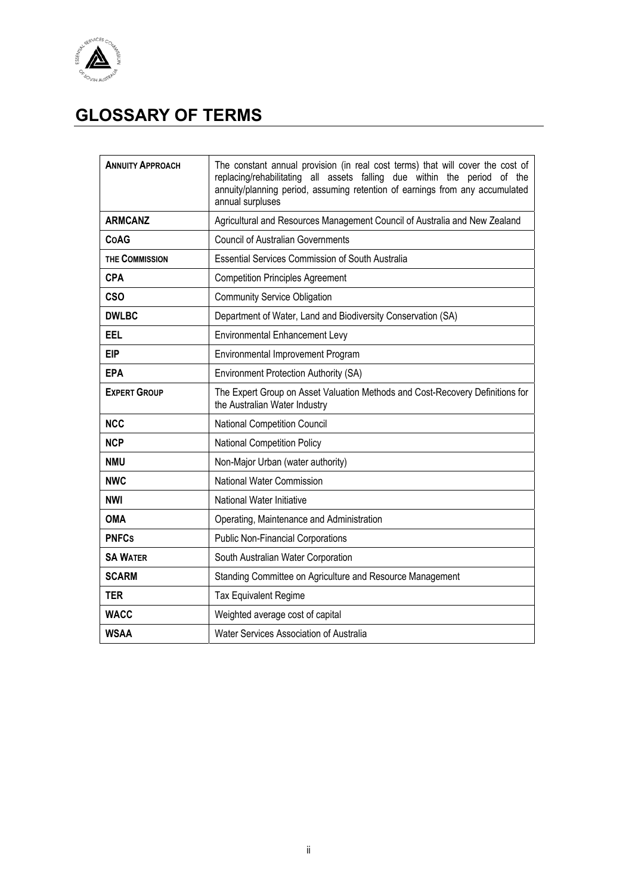

# **GLOSSARY OF TERMS**

| <b>ANNUITY APPROACH</b> | The constant annual provision (in real cost terms) that will cover the cost of<br>replacing/rehabilitating all assets falling due within the period of the<br>annuity/planning period, assuming retention of earnings from any accumulated<br>annual surpluses |
|-------------------------|----------------------------------------------------------------------------------------------------------------------------------------------------------------------------------------------------------------------------------------------------------------|
| <b>ARMCANZ</b>          | Agricultural and Resources Management Council of Australia and New Zealand                                                                                                                                                                                     |
| <b>CoAG</b>             | <b>Council of Australian Governments</b>                                                                                                                                                                                                                       |
| THE COMMISSION          | <b>Essential Services Commission of South Australia</b>                                                                                                                                                                                                        |
| <b>CPA</b>              | <b>Competition Principles Agreement</b>                                                                                                                                                                                                                        |
| <b>CSO</b>              | <b>Community Service Obligation</b>                                                                                                                                                                                                                            |
| <b>DWLBC</b>            | Department of Water, Land and Biodiversity Conservation (SA)                                                                                                                                                                                                   |
| EEL                     | <b>Environmental Enhancement Levy</b>                                                                                                                                                                                                                          |
| <b>EIP</b>              | Environmental Improvement Program                                                                                                                                                                                                                              |
| <b>EPA</b>              | <b>Environment Protection Authority (SA)</b>                                                                                                                                                                                                                   |
| <b>EXPERT GROUP</b>     | The Expert Group on Asset Valuation Methods and Cost-Recovery Definitions for<br>the Australian Water Industry                                                                                                                                                 |
| <b>NCC</b>              | <b>National Competition Council</b>                                                                                                                                                                                                                            |
| <b>NCP</b>              | <b>National Competition Policy</b>                                                                                                                                                                                                                             |
| <b>NMU</b>              | Non-Major Urban (water authority)                                                                                                                                                                                                                              |
| <b>NWC</b>              | National Water Commission                                                                                                                                                                                                                                      |
| <b>NWI</b>              | National Water Initiative                                                                                                                                                                                                                                      |
| <b>OMA</b>              | Operating, Maintenance and Administration                                                                                                                                                                                                                      |
| <b>PNFCs</b>            | <b>Public Non-Financial Corporations</b>                                                                                                                                                                                                                       |
| <b>SA WATER</b>         | South Australian Water Corporation                                                                                                                                                                                                                             |
| <b>SCARM</b>            | Standing Committee on Agriculture and Resource Management                                                                                                                                                                                                      |
| <b>TER</b>              | Tax Equivalent Regime                                                                                                                                                                                                                                          |
| <b>WACC</b>             | Weighted average cost of capital                                                                                                                                                                                                                               |
| <b>WSAA</b>             | Water Services Association of Australia                                                                                                                                                                                                                        |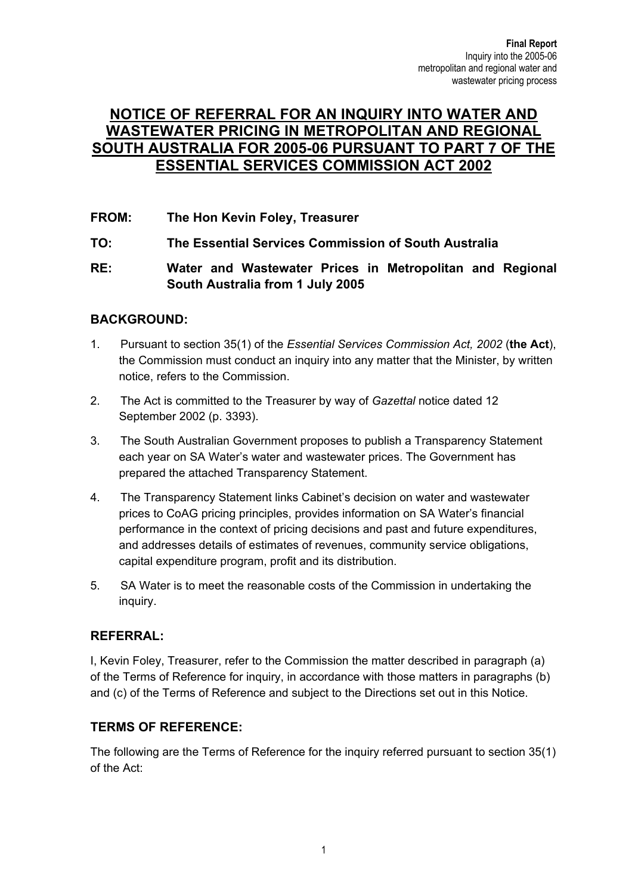## **NOTICE OF REFERRAL FOR AN INQUIRY INTO WATER AND WASTEWATER PRICING IN METROPOLITAN AND REGIONAL SOUTH AUSTRALIA FOR 2005-06 PURSUANT TO PART 7 OF THE ESSENTIAL SERVICES COMMISSION ACT 2002**

**FROM: The Hon Kevin Foley, Treasurer** 

**TO: The Essential Services Commission of South Australia** 

#### **RE: Water and Wastewater Prices in Metropolitan and Regional South Australia from 1 July 2005**

#### **BACKGROUND:**

- 1. Pursuant to section 35(1) of the *Essential Services Commission Act, 2002* (**the Act**), the Commission must conduct an inquiry into any matter that the Minister, by written notice, refers to the Commission.
- 2. The Act is committed to the Treasurer by way of *Gazettal* notice dated 12 September 2002 (p. 3393).
- 3. The South Australian Government proposes to publish a Transparency Statement each year on SA Water's water and wastewater prices. The Government has prepared the attached Transparency Statement.
- 4. The Transparency Statement links Cabinet's decision on water and wastewater prices to CoAG pricing principles, provides information on SA Water's financial performance in the context of pricing decisions and past and future expenditures, and addresses details of estimates of revenues, community service obligations, capital expenditure program, profit and its distribution.
- 5. SA Water is to meet the reasonable costs of the Commission in undertaking the inquiry.

#### **REFERRAL:**

I, Kevin Foley, Treasurer, refer to the Commission the matter described in paragraph (a) of the Terms of Reference for inquiry, in accordance with those matters in paragraphs (b) and (c) of the Terms of Reference and subject to the Directions set out in this Notice.

#### **TERMS OF REFERENCE:**

The following are the Terms of Reference for the inquiry referred pursuant to section 35(1) of the Act: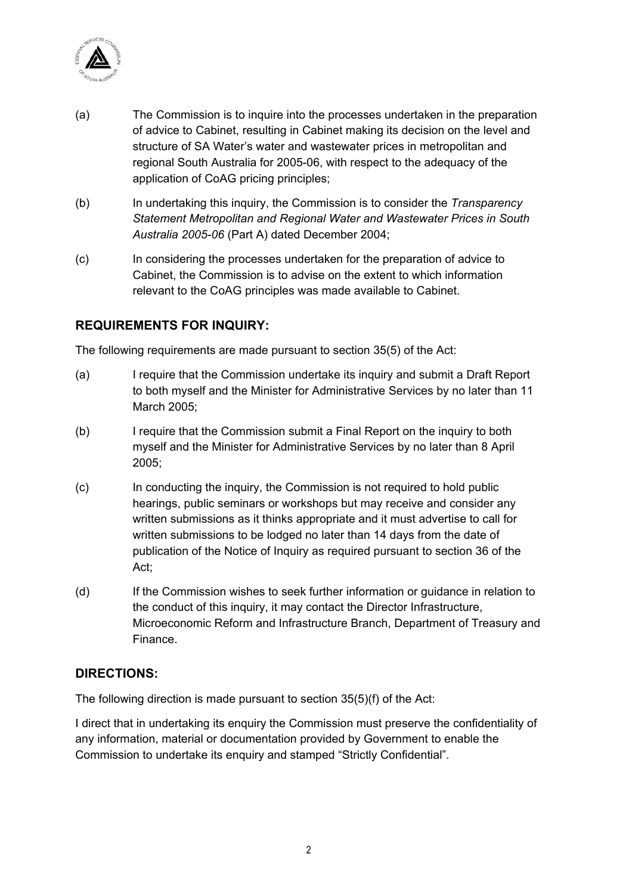

- (a) The Commission is to inquire into the processes undertaken in the preparation of advice to Cabinet, resulting in Cabinet making its decision on the level and structure of SA Water's water and wastewater prices in metropolitan and regional South Australia for 2005-06, with respect to the adequacy of the application of CoAG pricing principles;
- (b) In undertaking this inquiry, the Commission is to consider the *Transparency Statement Metropolitan and Regional Water and Wastewater Prices in South Australia 2005-06* (Part A) dated December 2004;
- (c) In considering the processes undertaken for the preparation of advice to Cabinet, the Commission is to advise on the extent to which information relevant to the CoAG principles was made available to Cabinet.

#### **REQUIREMENTS FOR INQUIRY:**

The following requirements are made pursuant to section 35(5) of the Act:

- (a) I require that the Commission undertake its inquiry and submit a Draft Report to both myself and the Minister for Administrative Services by no later than 11 March 2005;
- (b) I require that the Commission submit a Final Report on the inquiry to both myself and the Minister for Administrative Services by no later than 8 April 2005;
- (c) In conducting the inquiry, the Commission is not required to hold public hearings, public seminars or workshops but may receive and consider any written submissions as it thinks appropriate and it must advertise to call for written submissions to be lodged no later than 14 days from the date of publication of the Notice of Inquiry as required pursuant to section 36 of the Act;
- (d) If the Commission wishes to seek further information or guidance in relation to the conduct of this inquiry, it may contact the Director Infrastructure, Microeconomic Reform and Infrastructure Branch, Department of Treasury and Finance.

#### **DIRECTIONS:**

The following direction is made pursuant to section 35(5)(f) of the Act:

I direct that in undertaking its enquiry the Commission must preserve the confidentiality of any information, material or documentation provided by Government to enable the Commission to undertake its enquiry and stamped "Strictly Confidential".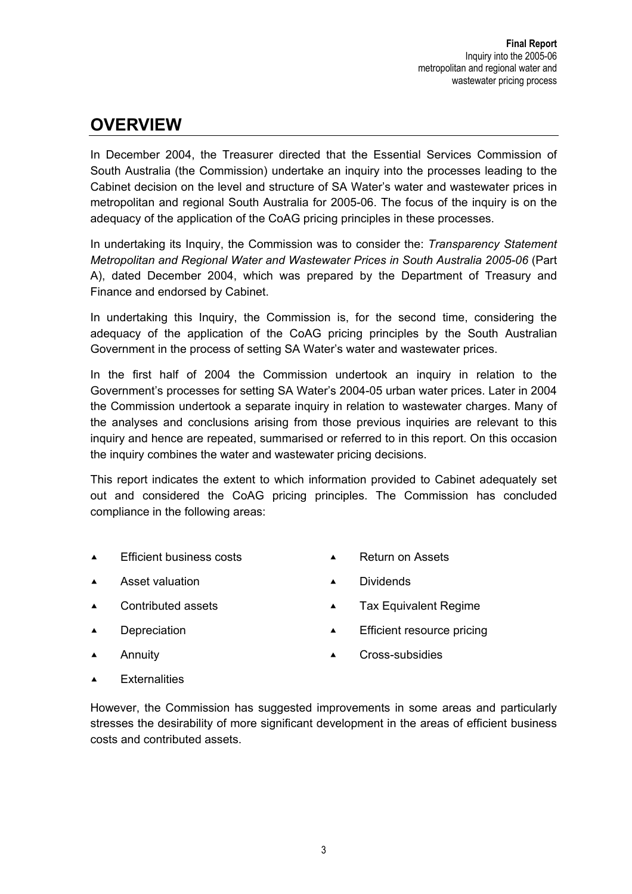# **OVERVIEW**

In December 2004, the Treasurer directed that the Essential Services Commission of South Australia (the Commission) undertake an inquiry into the processes leading to the Cabinet decision on the level and structure of SA Water's water and wastewater prices in metropolitan and regional South Australia for 2005-06. The focus of the inquiry is on the adequacy of the application of the CoAG pricing principles in these processes.

In undertaking its Inquiry, the Commission was to consider the: *Transparency Statement Metropolitan and Regional Water and Wastewater Prices in South Australia 2005-06* (Part A), dated December 2004, which was prepared by the Department of Treasury and Finance and endorsed by Cabinet.

In undertaking this Inquiry, the Commission is, for the second time, considering the adequacy of the application of the CoAG pricing principles by the South Australian Government in the process of setting SA Water's water and wastewater prices.

In the first half of 2004 the Commission undertook an inquiry in relation to the Government's processes for setting SA Water's 2004-05 urban water prices. Later in 2004 the Commission undertook a separate inquiry in relation to wastewater charges. Many of the analyses and conclusions arising from those previous inquiries are relevant to this inquiry and hence are repeated, summarised or referred to in this report. On this occasion the inquiry combines the water and wastewater pricing decisions.

This report indicates the extent to which information provided to Cabinet adequately set out and considered the CoAG pricing principles. The Commission has concluded compliance in the following areas:

- ▲ Efficient business costs △ Return on Assets
- 
- A Asset valuation **CONTEX A** Dividends
- 
- ▲ Contributed assets **contributed assets** A Tax Equivalent Regime
- **Efficient resource pricing** Efficient resource pricing
- 
- **A** Annuity **C**ross-subsidies
- $\triangle$  Externalities

However, the Commission has suggested improvements in some areas and particularly stresses the desirability of more significant development in the areas of efficient business costs and contributed assets.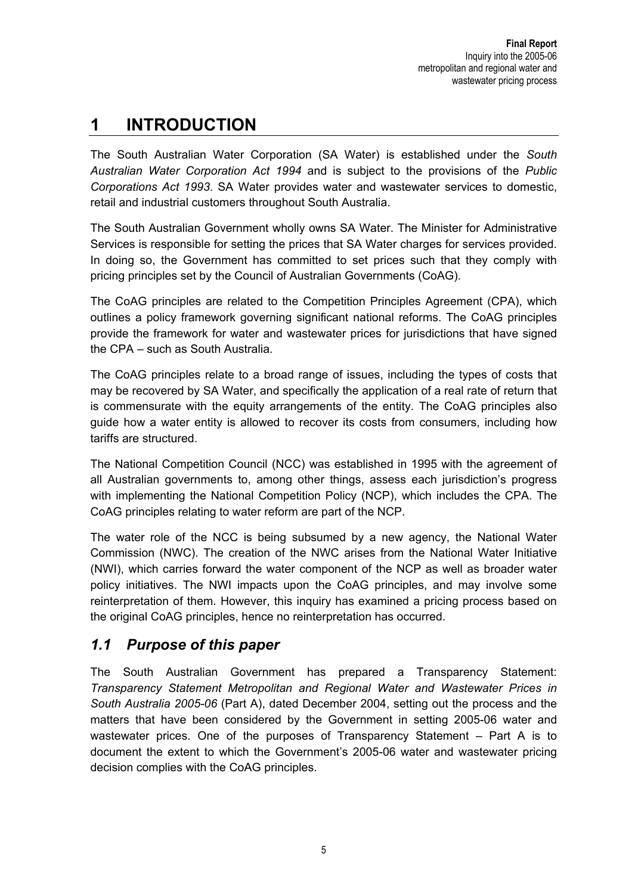# **1 INTRODUCTION**

The South Australian Water Corporation (SA Water) is established under the *South Australian Water Corporation Act 1994* and is subject to the provisions of the *Public Corporations Act 1993*. SA Water provides water and wastewater services to domestic, retail and industrial customers throughout South Australia.

The South Australian Government wholly owns SA Water. The Minister for Administrative Services is responsible for setting the prices that SA Water charges for services provided. In doing so, the Government has committed to set prices such that they comply with pricing principles set by the Council of Australian Governments (CoAG).

The CoAG principles are related to the Competition Principles Agreement (CPA), which outlines a policy framework governing significant national reforms. The CoAG principles provide the framework for water and wastewater prices for jurisdictions that have signed the CPA – such as South Australia.

The CoAG principles relate to a broad range of issues, including the types of costs that may be recovered by SA Water, and specifically the application of a real rate of return that is commensurate with the equity arrangements of the entity. The CoAG principles also guide how a water entity is allowed to recover its costs from consumers, including how tariffs are structured.

The National Competition Council (NCC) was established in 1995 with the agreement of all Australian governments to, among other things, assess each jurisdiction's progress with implementing the National Competition Policy (NCP), which includes the CPA. The CoAG principles relating to water reform are part of the NCP.

The water role of the NCC is being subsumed by a new agency, the National Water Commission (NWC). The creation of the NWC arises from the National Water Initiative (NWI), which carries forward the water component of the NCP as well as broader water policy initiatives. The NWI impacts upon the CoAG principles, and may involve some reinterpretation of them. However, this inquiry has examined a pricing process based on the original CoAG principles, hence no reinterpretation has occurred.

# *1.1 Purpose of this paper*

The South Australian Government has prepared a Transparency Statement: *Transparency Statement Metropolitan and Regional Water and Wastewater Prices in South Australia 2005-06* (Part A), dated December 2004, setting out the process and the matters that have been considered by the Government in setting 2005-06 water and wastewater prices. One of the purposes of Transparency Statement – Part A is to document the extent to which the Government's 2005-06 water and wastewater pricing decision complies with the CoAG principles.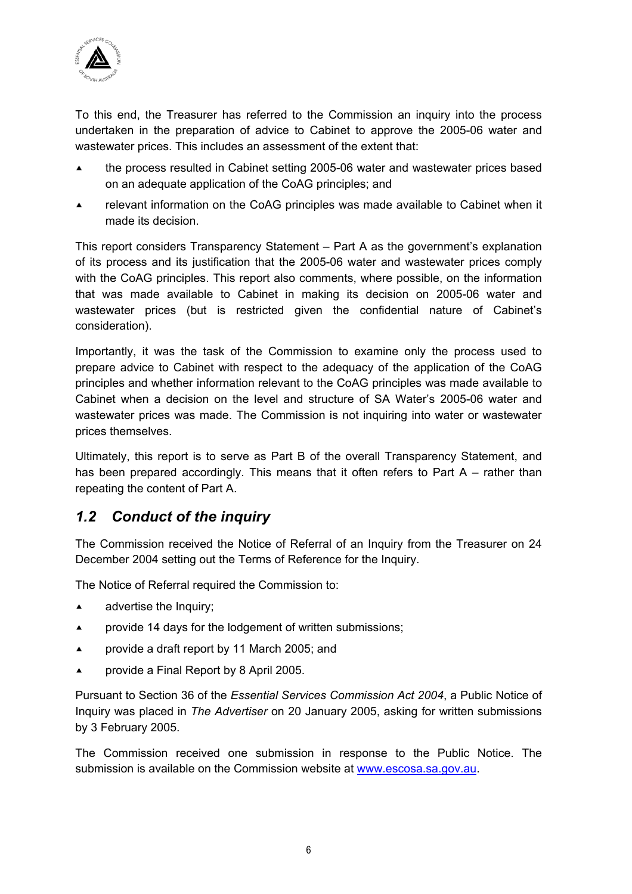

To this end, the Treasurer has referred to the Commission an inquiry into the process undertaken in the preparation of advice to Cabinet to approve the 2005-06 water and wastewater prices. This includes an assessment of the extent that:

- ▲ the process resulted in Cabinet setting 2005-06 water and wastewater prices based on an adequate application of the CoAG principles; and
- $\blacktriangle$  relevant information on the CoAG principles was made available to Cabinet when it made its decision.

This report considers Transparency Statement – Part A as the government's explanation of its process and its justification that the 2005-06 water and wastewater prices comply with the CoAG principles. This report also comments, where possible, on the information that was made available to Cabinet in making its decision on 2005-06 water and wastewater prices (but is restricted given the confidential nature of Cabinet's consideration).

Importantly, it was the task of the Commission to examine only the process used to prepare advice to Cabinet with respect to the adequacy of the application of the CoAG principles and whether information relevant to the CoAG principles was made available to Cabinet when a decision on the level and structure of SA Water's 2005-06 water and wastewater prices was made. The Commission is not inquiring into water or wastewater prices themselves.

Ultimately, this report is to serve as Part B of the overall Transparency Statement, and has been prepared accordingly. This means that it often refers to Part A – rather than repeating the content of Part A.

# *1.2 Conduct of the inquiry*

The Commission received the Notice of Referral of an Inquiry from the Treasurer on 24 December 2004 setting out the Terms of Reference for the Inquiry.

The Notice of Referral required the Commission to:

- $\triangle$  advertise the Inquiry;
- **Example 14 days for the lodgement of written submissions;**
- **Example 2005;** provide a draft report by 11 March 2005; and
- $\blacktriangle$  provide a Final Report by 8 April 2005.

Pursuant to Section 36 of the *Essential Services Commission Act 2004*, a Public Notice of Inquiry was placed in *The Advertiser* on 20 January 2005, asking for written submissions by 3 February 2005.

The Commission received one submission in response to the Public Notice. The submission is available on the Commission website at www.escosa.sa.gov.au.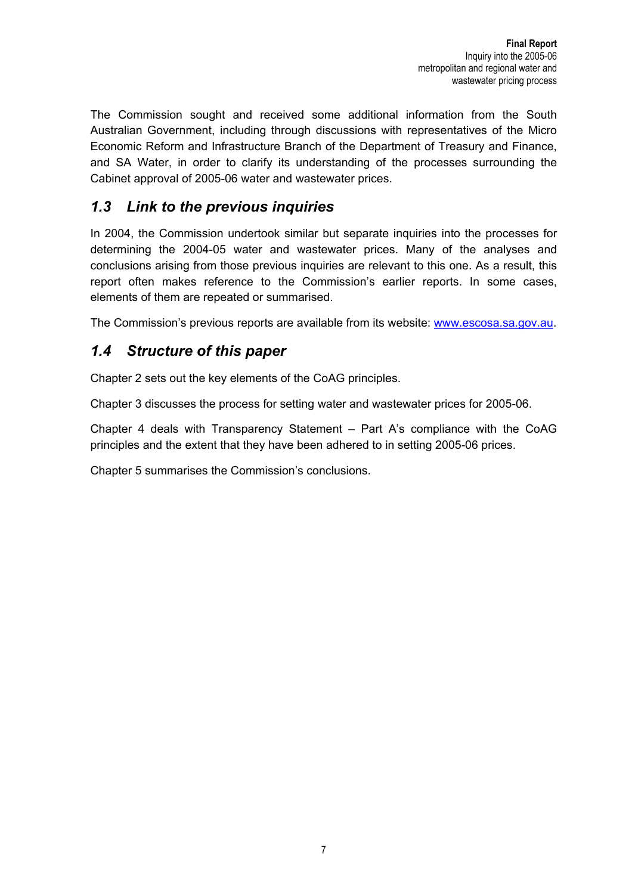The Commission sought and received some additional information from the South Australian Government, including through discussions with representatives of the Micro Economic Reform and Infrastructure Branch of the Department of Treasury and Finance, and SA Water, in order to clarify its understanding of the processes surrounding the Cabinet approval of 2005-06 water and wastewater prices.

# *1.3 Link to the previous inquiries*

In 2004, the Commission undertook similar but separate inquiries into the processes for determining the 2004-05 water and wastewater prices. Many of the analyses and conclusions arising from those previous inquiries are relevant to this one. As a result, this report often makes reference to the Commission's earlier reports. In some cases, elements of them are repeated or summarised.

The Commission's previous reports are available from its website: www.escosa.sa.gov.au.

## *1.4 Structure of this paper*

Chapter 2 sets out the key elements of the CoAG principles.

Chapter 3 discusses the process for setting water and wastewater prices for 2005-06.

Chapter 4 deals with Transparency Statement – Part A's compliance with the CoAG principles and the extent that they have been adhered to in setting 2005-06 prices.

Chapter 5 summarises the Commission's conclusions.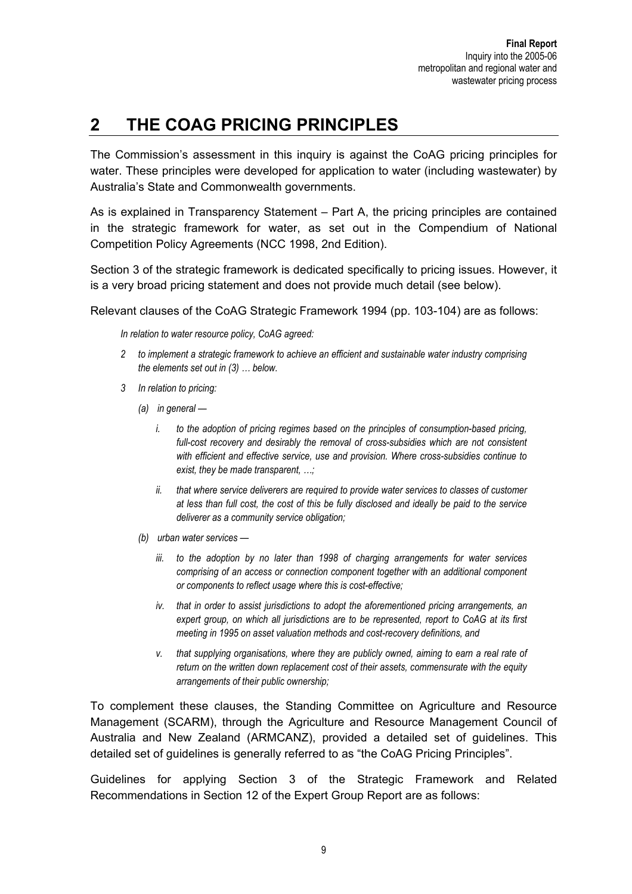# **2 THE COAG PRICING PRINCIPLES**

The Commission's assessment in this inquiry is against the CoAG pricing principles for water. These principles were developed for application to water (including wastewater) by Australia's State and Commonwealth governments.

As is explained in Transparency Statement – Part A, the pricing principles are contained in the strategic framework for water, as set out in the Compendium of National Competition Policy Agreements (NCC 1998, 2nd Edition).

Section 3 of the strategic framework is dedicated specifically to pricing issues. However, it is a very broad pricing statement and does not provide much detail (see below).

Relevant clauses of the CoAG Strategic Framework 1994 (pp. 103-104) are as follows:

*In relation to water resource policy, CoAG agreed:* 

- *2 to implement a strategic framework to achieve an efficient and sustainable water industry comprising the elements set out in (3) … below.*
- *3 In relation to pricing:* 
	- *(a) in general* 
		- *i. to the adoption of pricing regimes based on the principles of consumption-based pricing, full-cost recovery and desirably the removal of cross-subsidies which are not consistent with efficient and effective service, use and provision. Where cross-subsidies continue to exist, they be made transparent, …;*
		- *ii. that where service deliverers are required to provide water services to classes of customer at less than full cost, the cost of this be fully disclosed and ideally be paid to the service deliverer as a community service obligation;*
	- *(b) urban water services* 
		- *iii. to the adoption by no later than 1998 of charging arrangements for water services comprising of an access or connection component together with an additional component or components to reflect usage where this is cost-effective;*
		- *iv. that in order to assist jurisdictions to adopt the aforementioned pricing arrangements, an expert group, on which all jurisdictions are to be represented, report to CoAG at its first meeting in 1995 on asset valuation methods and cost-recovery definitions, and*
		- *v. that supplying organisations, where they are publicly owned, aiming to earn a real rate of return on the written down replacement cost of their assets, commensurate with the equity arrangements of their public ownership;*

To complement these clauses, the Standing Committee on Agriculture and Resource Management (SCARM), through the Agriculture and Resource Management Council of Australia and New Zealand (ARMCANZ), provided a detailed set of guidelines. This detailed set of guidelines is generally referred to as "the CoAG Pricing Principles".

Guidelines for applying Section 3 of the Strategic Framework and Related Recommendations in Section 12 of the Expert Group Report are as follows: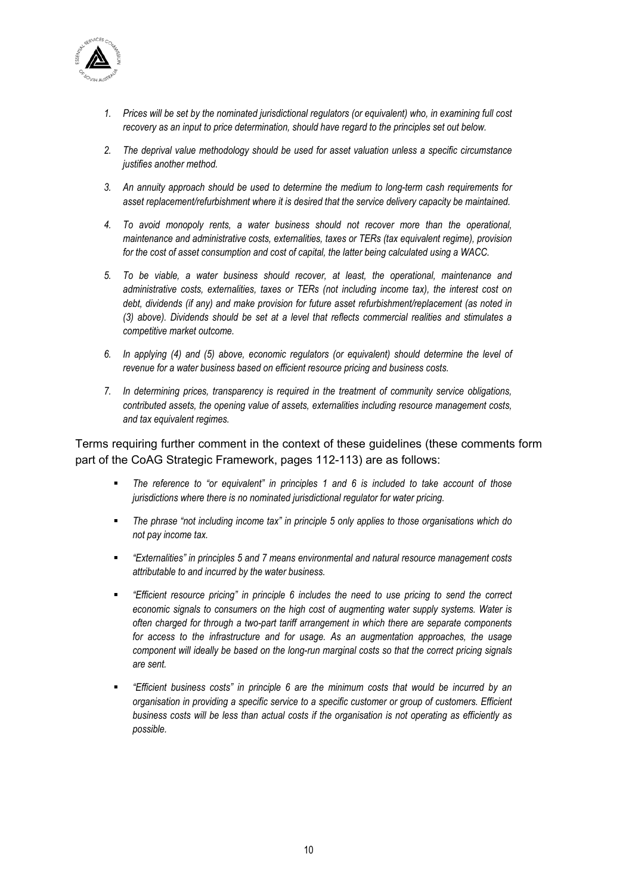

- *1. Prices will be set by the nominated jurisdictional regulators (or equivalent) who, in examining full cost recovery as an input to price determination, should have regard to the principles set out below.*
- *2. The deprival value methodology should be used for asset valuation unless a specific circumstance justifies another method.*
- *3. An annuity approach should be used to determine the medium to long-term cash requirements for asset replacement/refurbishment where it is desired that the service delivery capacity be maintained.*
- *4. To avoid monopoly rents, a water business should not recover more than the operational, maintenance and administrative costs, externalities, taxes or TERs (tax equivalent regime), provision for the cost of asset consumption and cost of capital, the latter being calculated using a WACC.*
- *5. To be viable, a water business should recover, at least, the operational, maintenance and administrative costs, externalities, taxes or TERs (not including income tax), the interest cost on debt, dividends (if any) and make provision for future asset refurbishment/replacement (as noted in (3) above). Dividends should be set at a level that reflects commercial realities and stimulates a competitive market outcome.*
- *6. In applying (4) and (5) above, economic regulators (or equivalent) should determine the level of revenue for a water business based on efficient resource pricing and business costs.*
- *7. In determining prices, transparency is required in the treatment of community service obligations, contributed assets, the opening value of assets, externalities including resource management costs, and tax equivalent regimes.*

Terms requiring further comment in the context of these guidelines (these comments form part of the CoAG Strategic Framework, pages 112-113) are as follows:

- *The reference to "or equivalent" in principles 1 and 6 is included to take account of those jurisdictions where there is no nominated jurisdictional regulator for water pricing.*
- *The phrase "not including income tax" in principle 5 only applies to those organisations which do not pay income tax.*
- *"Externalities" in principles 5 and 7 means environmental and natural resource management costs attributable to and incurred by the water business.*
- *"Efficient resource pricing" in principle 6 includes the need to use pricing to send the correct economic signals to consumers on the high cost of augmenting water supply systems. Water is often charged for through a two-part tariff arrangement in which there are separate components for access to the infrastructure and for usage. As an augmentation approaches, the usage component will ideally be based on the long-run marginal costs so that the correct pricing signals are sent.*
- *"Efficient business costs" in principle 6 are the minimum costs that would be incurred by an organisation in providing a specific service to a specific customer or group of customers. Efficient business costs will be less than actual costs if the organisation is not operating as efficiently as possible.*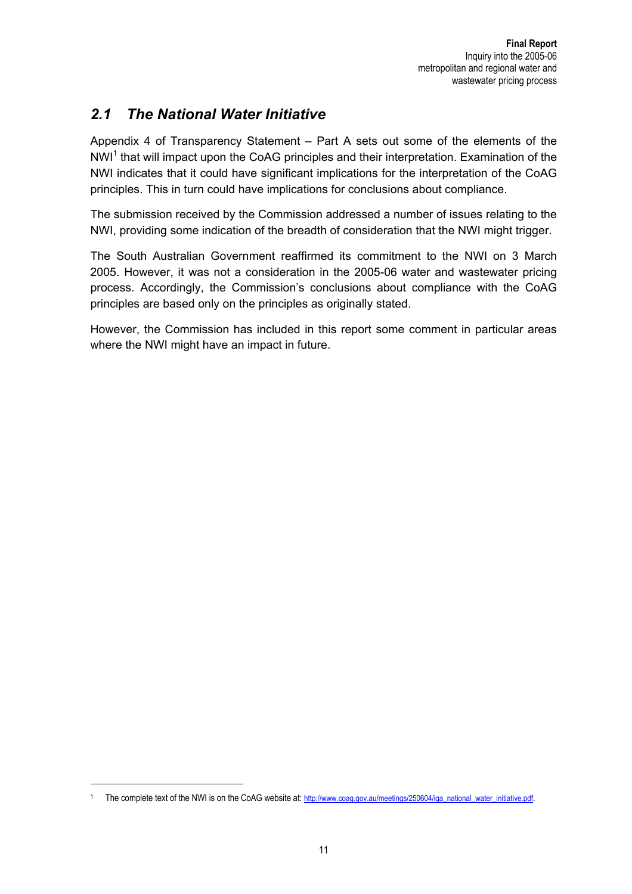# *2.1 The National Water Initiative*

Appendix 4 of Transparency Statement – Part A sets out some of the elements of the NWI<sup>1</sup> that will impact upon the CoAG principles and their interpretation. Examination of the NWI indicates that it could have significant implications for the interpretation of the CoAG principles. This in turn could have implications for conclusions about compliance.

The submission received by the Commission addressed a number of issues relating to the NWI, providing some indication of the breadth of consideration that the NWI might trigger.

The South Australian Government reaffirmed its commitment to the NWI on 3 March 2005. However, it was not a consideration in the 2005-06 water and wastewater pricing process. Accordingly, the Commission's conclusions about compliance with the CoAG principles are based only on the principles as originally stated.

However, the Commission has included in this report some comment in particular areas where the NWI might have an impact in future.

 $\overline{a}$ 

<sup>1</sup> The complete text of the NWI is on the CoAG website at: http://www.coag.gov.au/meetings/250604/iga\_national\_water\_initiative.pdf.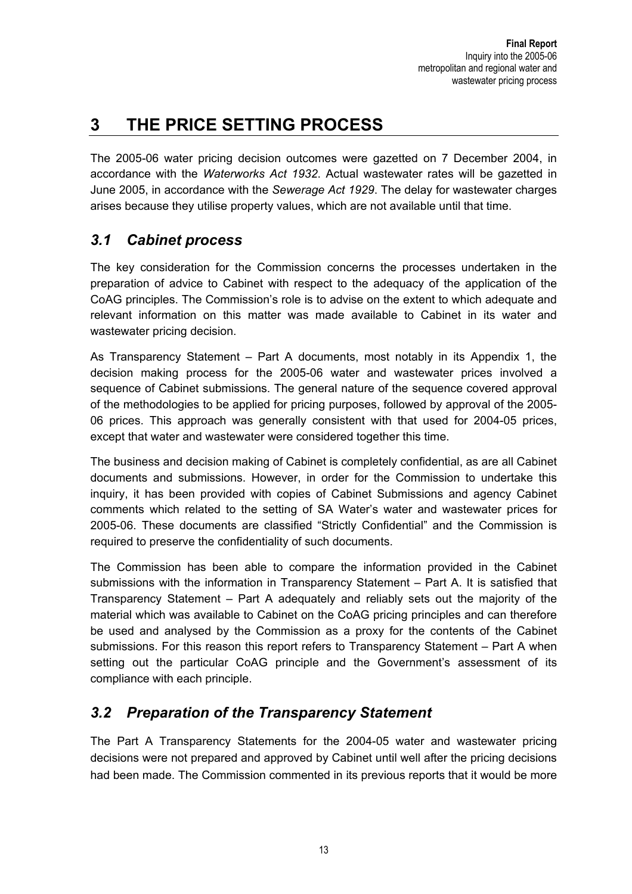# **3 THE PRICE SETTING PROCESS**

The 2005-06 water pricing decision outcomes were gazetted on 7 December 2004, in accordance with the *Waterworks Act 1932*. Actual wastewater rates will be gazetted in June 2005, in accordance with the *Sewerage Act 1929*. The delay for wastewater charges arises because they utilise property values, which are not available until that time.

# *3.1 Cabinet process*

The key consideration for the Commission concerns the processes undertaken in the preparation of advice to Cabinet with respect to the adequacy of the application of the CoAG principles. The Commission's role is to advise on the extent to which adequate and relevant information on this matter was made available to Cabinet in its water and wastewater pricing decision.

As Transparency Statement – Part A documents, most notably in its Appendix 1, the decision making process for the 2005-06 water and wastewater prices involved a sequence of Cabinet submissions. The general nature of the sequence covered approval of the methodologies to be applied for pricing purposes, followed by approval of the 2005- 06 prices. This approach was generally consistent with that used for 2004-05 prices, except that water and wastewater were considered together this time.

The business and decision making of Cabinet is completely confidential, as are all Cabinet documents and submissions. However, in order for the Commission to undertake this inquiry, it has been provided with copies of Cabinet Submissions and agency Cabinet comments which related to the setting of SA Water's water and wastewater prices for 2005-06. These documents are classified "Strictly Confidential" and the Commission is required to preserve the confidentiality of such documents.

The Commission has been able to compare the information provided in the Cabinet submissions with the information in Transparency Statement – Part A. It is satisfied that Transparency Statement – Part A adequately and reliably sets out the majority of the material which was available to Cabinet on the CoAG pricing principles and can therefore be used and analysed by the Commission as a proxy for the contents of the Cabinet submissions. For this reason this report refers to Transparency Statement – Part A when setting out the particular CoAG principle and the Government's assessment of its compliance with each principle.

# *3.2 Preparation of the Transparency Statement*

The Part A Transparency Statements for the 2004-05 water and wastewater pricing decisions were not prepared and approved by Cabinet until well after the pricing decisions had been made. The Commission commented in its previous reports that it would be more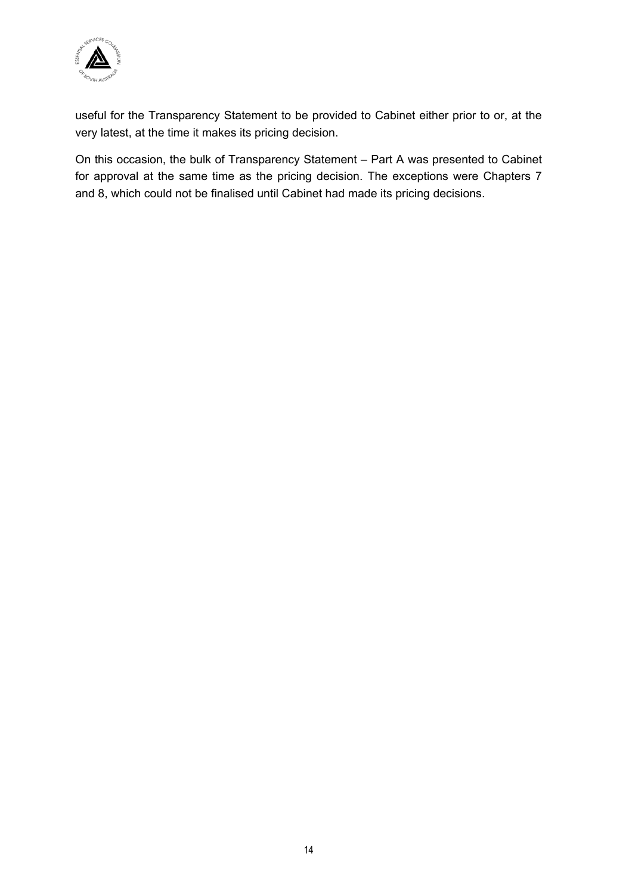

useful for the Transparency Statement to be provided to Cabinet either prior to or, at the very latest, at the time it makes its pricing decision.

On this occasion, the bulk of Transparency Statement – Part A was presented to Cabinet for approval at the same time as the pricing decision. The exceptions were Chapters 7 and 8, which could not be finalised until Cabinet had made its pricing decisions.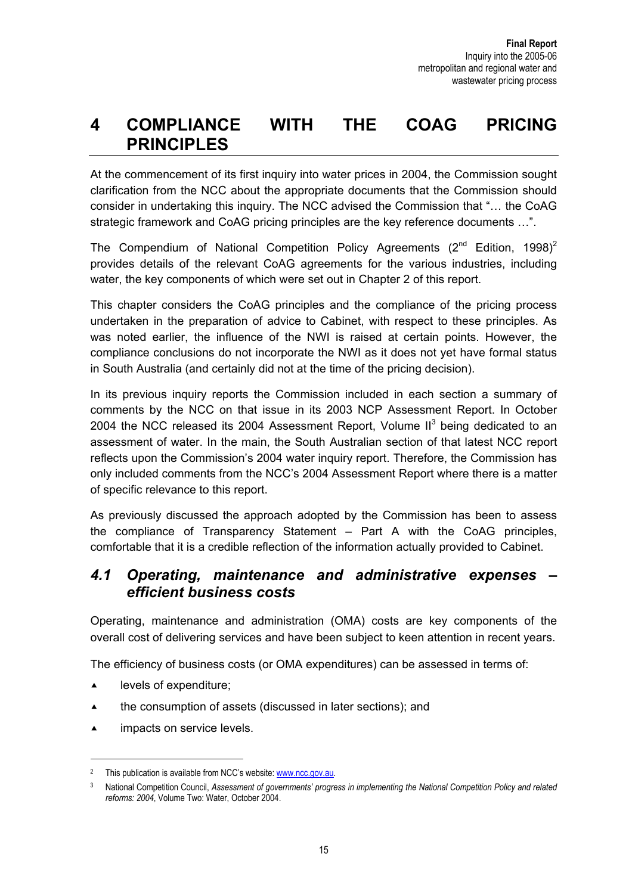# **4 COMPLIANCE WITH THE COAG PRICING PRINCIPLES**

At the commencement of its first inquiry into water prices in 2004, the Commission sought clarification from the NCC about the appropriate documents that the Commission should consider in undertaking this inquiry. The NCC advised the Commission that "… the CoAG strategic framework and CoAG pricing principles are the key reference documents …".

The Compendium of National Competition Policy Agreements  $(2^{nd}$  Edition, 1998)<sup>2</sup> provides details of the relevant CoAG agreements for the various industries, including water, the key components of which were set out in Chapter 2 of this report.

This chapter considers the CoAG principles and the compliance of the pricing process undertaken in the preparation of advice to Cabinet, with respect to these principles. As was noted earlier, the influence of the NWI is raised at certain points. However, the compliance conclusions do not incorporate the NWI as it does not yet have formal status in South Australia (and certainly did not at the time of the pricing decision).

In its previous inquiry reports the Commission included in each section a summary of comments by the NCC on that issue in its 2003 NCP Assessment Report. In October 2004 the NCC released its 2004 Assessment Report, Volume II $3$  being dedicated to an assessment of water. In the main, the South Australian section of that latest NCC report reflects upon the Commission's 2004 water inquiry report. Therefore, the Commission has only included comments from the NCC's 2004 Assessment Report where there is a matter of specific relevance to this report.

As previously discussed the approach adopted by the Commission has been to assess the compliance of Transparency Statement – Part A with the CoAG principles, comfortable that it is a credible reflection of the information actually provided to Cabinet.

## *4.1 Operating, maintenance and administrative expenses – efficient business costs*

Operating, maintenance and administration (OMA) costs are key components of the overall cost of delivering services and have been subject to keen attention in recent years.

The efficiency of business costs (or OMA expenditures) can be assessed in terms of:

 $\triangle$  levels of expenditure;

 $\overline{a}$ 

- $\triangle$  the consumption of assets (discussed in later sections); and
- $\blacktriangle$  impacts on service levels.

<sup>&</sup>lt;sup>2</sup> This publication is available from NCC's website: www.ncc.gov.au.

<sup>3</sup> National Competition Council, *Assessment of governments' progress in implementing the National Competition Policy and related reforms: 2004*, Volume Two: Water, October 2004.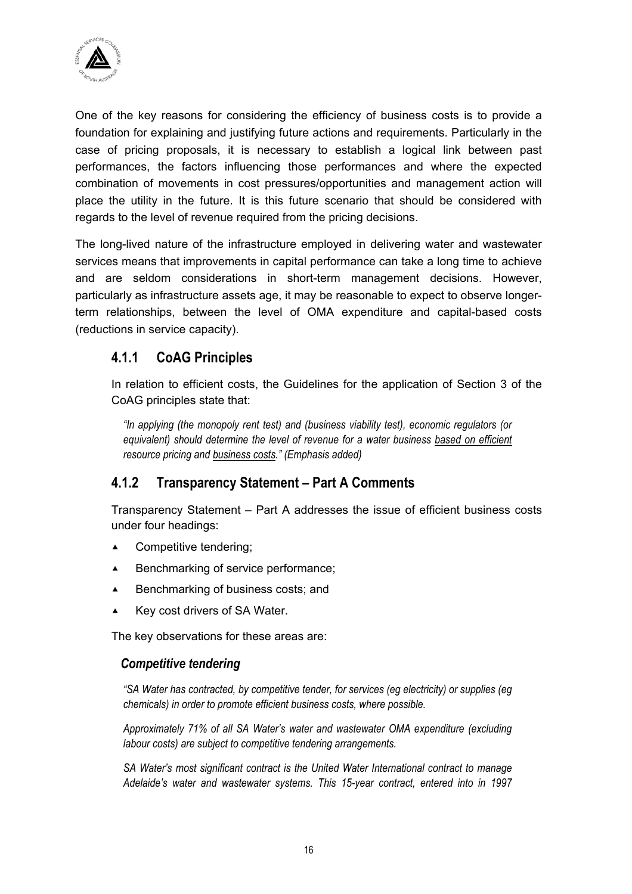

One of the key reasons for considering the efficiency of business costs is to provide a foundation for explaining and justifying future actions and requirements. Particularly in the case of pricing proposals, it is necessary to establish a logical link between past performances, the factors influencing those performances and where the expected combination of movements in cost pressures/opportunities and management action will place the utility in the future. It is this future scenario that should be considered with regards to the level of revenue required from the pricing decisions.

The long-lived nature of the infrastructure employed in delivering water and wastewater services means that improvements in capital performance can take a long time to achieve and are seldom considerations in short-term management decisions. However, particularly as infrastructure assets age, it may be reasonable to expect to observe longerterm relationships, between the level of OMA expenditure and capital-based costs (reductions in service capacity).

## **4.1.1 CoAG Principles**

In relation to efficient costs, the Guidelines for the application of Section 3 of the CoAG principles state that:

*"In applying (the monopoly rent test) and (business viability test), economic regulators (or equivalent) should determine the level of revenue for a water business based on efficient resource pricing and business costs." (Emphasis added)*

## **4.1.2 Transparency Statement – Part A Comments**

Transparency Statement – Part A addresses the issue of efficient business costs under four headings:

- $\triangle$  Competitive tendering;
- $\triangle$  Benchmarking of service performance;
- $\blacktriangle$  Benchmarking of business costs; and
- $\blacktriangle$  Key cost drivers of SA Water.

The key observations for these areas are:

#### *Competitive tendering*

*"SA Water has contracted, by competitive tender, for services (eg electricity) or supplies (eg chemicals) in order to promote efficient business costs, where possible.* 

*Approximately 71% of all SA Water's water and wastewater OMA expenditure (excluding labour costs) are subject to competitive tendering arrangements.* 

*SA Water's most significant contract is the United Water International contract to manage Adelaide's water and wastewater systems. This 15-year contract, entered into in 1997*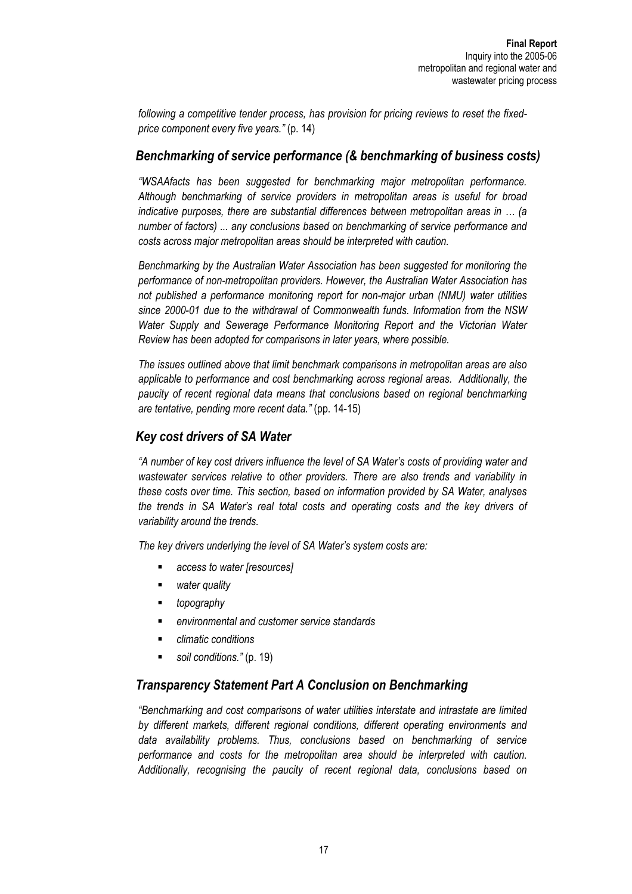*following a competitive tender process, has provision for pricing reviews to reset the fixedprice component every five years."* (p. 14)

#### *Benchmarking of service performance (& benchmarking of business costs)*

*"WSAAfacts has been suggested for benchmarking major metropolitan performance. Although benchmarking of service providers in metropolitan areas is useful for broad indicative purposes, there are substantial differences between metropolitan areas in … (a number of factors) ... any conclusions based on benchmarking of service performance and costs across major metropolitan areas should be interpreted with caution.* 

*Benchmarking by the Australian Water Association has been suggested for monitoring the performance of non-metropolitan providers. However, the Australian Water Association has not published a performance monitoring report for non-major urban (NMU) water utilities since 2000-01 due to the withdrawal of Commonwealth funds. Information from the NSW Water Supply and Sewerage Performance Monitoring Report and the Victorian Water Review has been adopted for comparisons in later years, where possible.* 

*The issues outlined above that limit benchmark comparisons in metropolitan areas are also applicable to performance and cost benchmarking across regional areas. Additionally, the paucity of recent regional data means that conclusions based on regional benchmarking are tentative, pending more recent data."* (pp. 14-15)

#### *Key cost drivers of SA Water*

*"A number of key cost drivers influence the level of SA Water's costs of providing water and wastewater services relative to other providers. There are also trends and variability in these costs over time. This section, based on information provided by SA Water, analyses the trends in SA Water's real total costs and operating costs and the key drivers of variability around the trends.* 

*The key drivers underlying the level of SA Water's system costs are:* 

- *access to water [resources]*
- *water quality*
- *topography*
- *environmental and customer service standards*
- *climatic conditions*
- *soil conditions."* (p. 19)

#### *Transparency Statement Part A Conclusion on Benchmarking*

*"Benchmarking and cost comparisons of water utilities interstate and intrastate are limited by different markets, different regional conditions, different operating environments and data availability problems. Thus, conclusions based on benchmarking of service performance and costs for the metropolitan area should be interpreted with caution. Additionally, recognising the paucity of recent regional data, conclusions based on*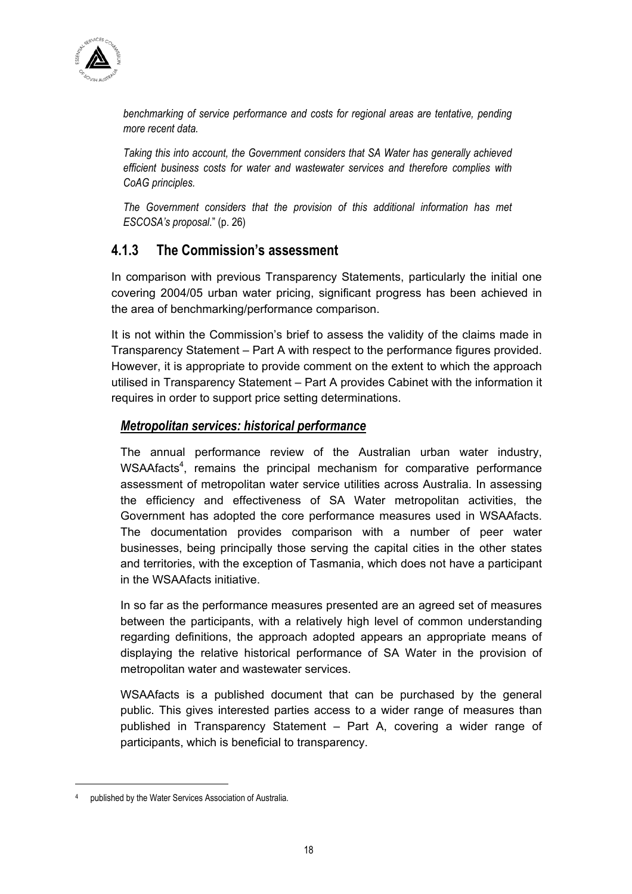

*benchmarking of service performance and costs for regional areas are tentative, pending more recent data.* 

*Taking this into account, the Government considers that SA Water has generally achieved efficient business costs for water and wastewater services and therefore complies with CoAG principles.* 

*The Government considers that the provision of this additional information has met ESCOSA's proposal*." (p. 26)

## **4.1.3 The Commission's assessment**

In comparison with previous Transparency Statements, particularly the initial one covering 2004/05 urban water pricing, significant progress has been achieved in the area of benchmarking/performance comparison.

It is not within the Commission's brief to assess the validity of the claims made in Transparency Statement – Part A with respect to the performance figures provided. However, it is appropriate to provide comment on the extent to which the approach utilised in Transparency Statement – Part A provides Cabinet with the information it requires in order to support price setting determinations.

## *Metropolitan services: historical performance*

The annual performance review of the Australian urban water industry, WSAAfacts<sup>4</sup>, remains the principal mechanism for comparative performance assessment of metropolitan water service utilities across Australia. In assessing the efficiency and effectiveness of SA Water metropolitan activities, the Government has adopted the core performance measures used in WSAAfacts. The documentation provides comparison with a number of peer water businesses, being principally those serving the capital cities in the other states and territories, with the exception of Tasmania, which does not have a participant in the WSAAfacts initiative.

In so far as the performance measures presented are an agreed set of measures between the participants, with a relatively high level of common understanding regarding definitions, the approach adopted appears an appropriate means of displaying the relative historical performance of SA Water in the provision of metropolitan water and wastewater services.

WSAAfacts is a published document that can be purchased by the general public. This gives interested parties access to a wider range of measures than published in Transparency Statement – Part A, covering a wider range of participants, which is beneficial to transparency.

 $\overline{a}$ 

published by the Water Services Association of Australia.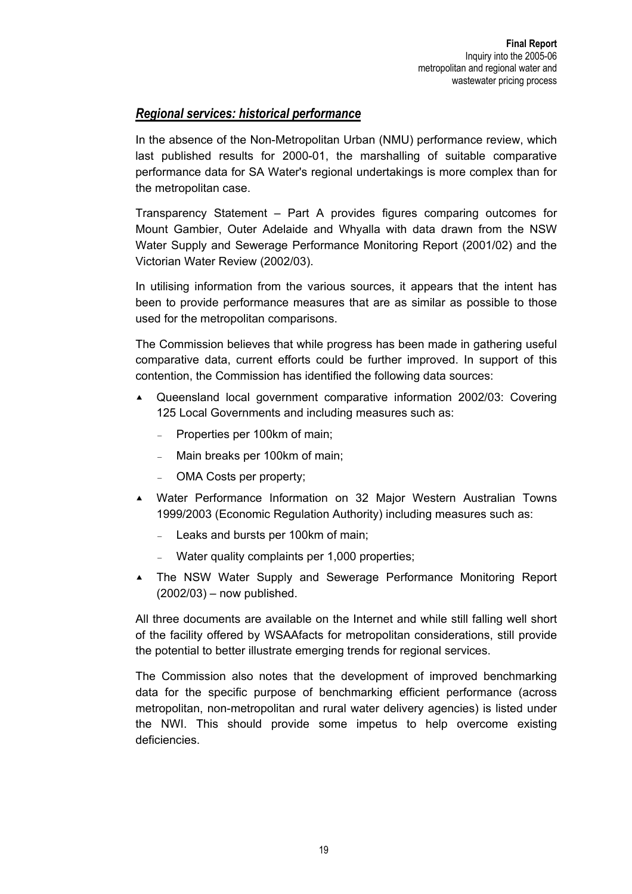#### *Regional services: historical performance*

In the absence of the Non-Metropolitan Urban (NMU) performance review, which last published results for 2000-01, the marshalling of suitable comparative performance data for SA Water's regional undertakings is more complex than for the metropolitan case.

Transparency Statement – Part A provides figures comparing outcomes for Mount Gambier, Outer Adelaide and Whyalla with data drawn from the NSW Water Supply and Sewerage Performance Monitoring Report (2001/02) and the Victorian Water Review (2002/03).

In utilising information from the various sources, it appears that the intent has been to provide performance measures that are as similar as possible to those used for the metropolitan comparisons.

The Commission believes that while progress has been made in gathering useful comparative data, current efforts could be further improved. In support of this contention, the Commission has identified the following data sources:

- $\triangle$  Queensland local government comparative information 2002/03: Covering 125 Local Governments and including measures such as:
	- − Properties per 100km of main;
	- − Main breaks per 100km of main;
	- OMA Costs per property;
- c Water Performance Information on 32 Major Western Australian Towns 1999/2003 (Economic Regulation Authority) including measures such as:
	- Leaks and bursts per 100km of main;
	- Water quality complaints per 1,000 properties;
- c The NSW Water Supply and Sewerage Performance Monitoring Report (2002/03) – now published.

All three documents are available on the Internet and while still falling well short of the facility offered by WSAAfacts for metropolitan considerations, still provide the potential to better illustrate emerging trends for regional services.

The Commission also notes that the development of improved benchmarking data for the specific purpose of benchmarking efficient performance (across metropolitan, non-metropolitan and rural water delivery agencies) is listed under the NWI. This should provide some impetus to help overcome existing deficiencies.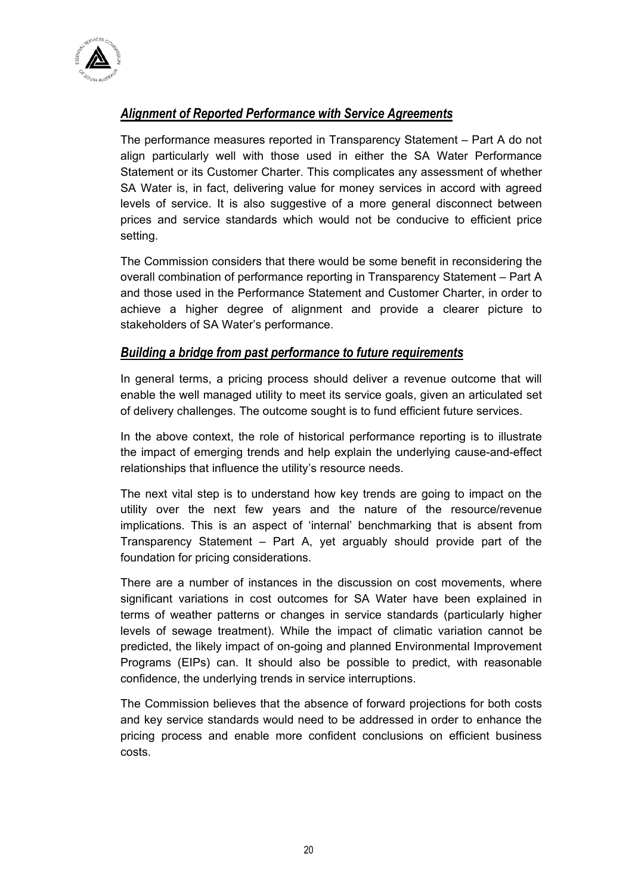

## *Alignment of Reported Performance with Service Agreements*

The performance measures reported in Transparency Statement – Part A do not align particularly well with those used in either the SA Water Performance Statement or its Customer Charter. This complicates any assessment of whether SA Water is, in fact, delivering value for money services in accord with agreed levels of service. It is also suggestive of a more general disconnect between prices and service standards which would not be conducive to efficient price setting.

The Commission considers that there would be some benefit in reconsidering the overall combination of performance reporting in Transparency Statement – Part A and those used in the Performance Statement and Customer Charter, in order to achieve a higher degree of alignment and provide a clearer picture to stakeholders of SA Water's performance.

#### *Building a bridge from past performance to future requirements*

In general terms, a pricing process should deliver a revenue outcome that will enable the well managed utility to meet its service goals, given an articulated set of delivery challenges. The outcome sought is to fund efficient future services.

In the above context, the role of historical performance reporting is to illustrate the impact of emerging trends and help explain the underlying cause-and-effect relationships that influence the utility's resource needs.

The next vital step is to understand how key trends are going to impact on the utility over the next few years and the nature of the resource/revenue implications. This is an aspect of 'internal' benchmarking that is absent from Transparency Statement – Part A, yet arguably should provide part of the foundation for pricing considerations.

There are a number of instances in the discussion on cost movements, where significant variations in cost outcomes for SA Water have been explained in terms of weather patterns or changes in service standards (particularly higher levels of sewage treatment). While the impact of climatic variation cannot be predicted, the likely impact of on-going and planned Environmental Improvement Programs (EIPs) can. It should also be possible to predict, with reasonable confidence, the underlying trends in service interruptions.

The Commission believes that the absence of forward projections for both costs and key service standards would need to be addressed in order to enhance the pricing process and enable more confident conclusions on efficient business costs.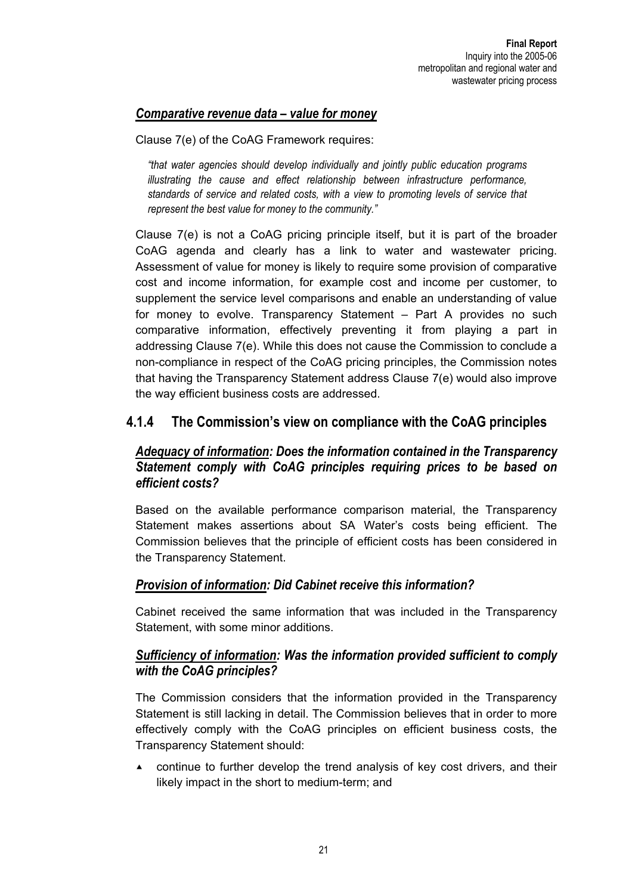## *Comparative revenue data – value for money*

Clause 7(e) of the CoAG Framework requires:

*"that water agencies should develop individually and jointly public education programs illustrating the cause and effect relationship between infrastructure performance, standards of service and related costs, with a view to promoting levels of service that represent the best value for money to the community."* 

Clause 7(e) is not a CoAG pricing principle itself, but it is part of the broader CoAG agenda and clearly has a link to water and wastewater pricing. Assessment of value for money is likely to require some provision of comparative cost and income information, for example cost and income per customer, to supplement the service level comparisons and enable an understanding of value for money to evolve. Transparency Statement – Part A provides no such comparative information, effectively preventing it from playing a part in addressing Clause 7(e). While this does not cause the Commission to conclude a non-compliance in respect of the CoAG pricing principles, the Commission notes that having the Transparency Statement address Clause 7(e) would also improve the way efficient business costs are addressed.

## **4.1.4 The Commission's view on compliance with the CoAG principles**

## *Adequacy of information: Does the information contained in the Transparency Statement comply with CoAG principles requiring prices to be based on efficient costs?*

Based on the available performance comparison material, the Transparency Statement makes assertions about SA Water's costs being efficient. The Commission believes that the principle of efficient costs has been considered in the Transparency Statement.

## *Provision of information: Did Cabinet receive this information?*

Cabinet received the same information that was included in the Transparency Statement, with some minor additions.

## *Sufficiency of information: Was the information provided sufficient to comply with the CoAG principles?*

The Commission considers that the information provided in the Transparency Statement is still lacking in detail. The Commission believes that in order to more effectively comply with the CoAG principles on efficient business costs, the Transparency Statement should:

continue to further develop the trend analysis of key cost drivers, and their likely impact in the short to medium-term; and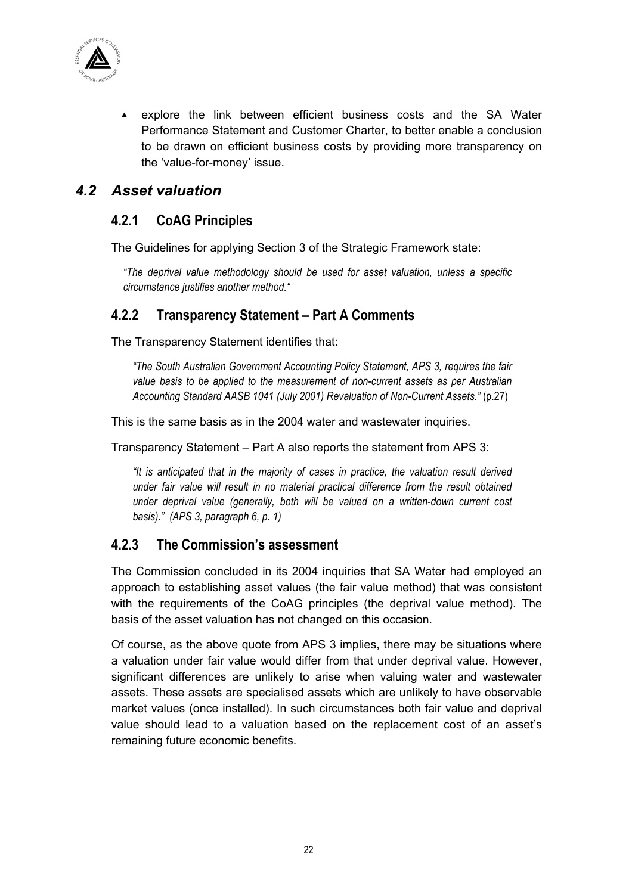

 $\triangle$  explore the link between efficient business costs and the SA Water Performance Statement and Customer Charter, to better enable a conclusion to be drawn on efficient business costs by providing more transparency on the 'value-for-money' issue.

## *4.2 Asset valuation*

## **4.2.1 CoAG Principles**

The Guidelines for applying Section 3 of the Strategic Framework state:

*"The deprival value methodology should be used for asset valuation, unless a specific circumstance justifies another method."* 

## **4.2.2 Transparency Statement – Part A Comments**

The Transparency Statement identifies that:

*"The South Australian Government Accounting Policy Statement, APS 3, requires the fair value basis to be applied to the measurement of non-current assets as per Australian Accounting Standard AASB 1041 (July 2001) Revaluation of Non-Current Assets."* (p.27)

This is the same basis as in the 2004 water and wastewater inquiries.

Transparency Statement – Part A also reports the statement from APS 3:

*"It is anticipated that in the majority of cases in practice, the valuation result derived under fair value will result in no material practical difference from the result obtained under deprival value (generally, both will be valued on a written-down current cost basis)." (APS 3, paragraph 6, p. 1)* 

## **4.2.3 The Commission's assessment**

The Commission concluded in its 2004 inquiries that SA Water had employed an approach to establishing asset values (the fair value method) that was consistent with the requirements of the CoAG principles (the deprival value method). The basis of the asset valuation has not changed on this occasion.

Of course, as the above quote from APS 3 implies, there may be situations where a valuation under fair value would differ from that under deprival value. However, significant differences are unlikely to arise when valuing water and wastewater assets. These assets are specialised assets which are unlikely to have observable market values (once installed). In such circumstances both fair value and deprival value should lead to a valuation based on the replacement cost of an asset's remaining future economic benefits.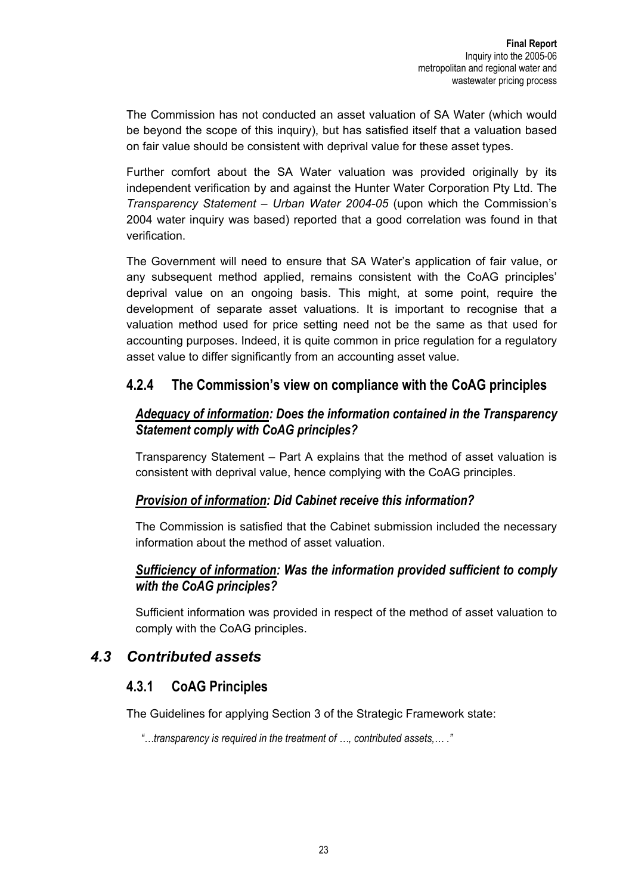The Commission has not conducted an asset valuation of SA Water (which would be beyond the scope of this inquiry), but has satisfied itself that a valuation based on fair value should be consistent with deprival value for these asset types.

Further comfort about the SA Water valuation was provided originally by its independent verification by and against the Hunter Water Corporation Pty Ltd. The *Transparency Statement – Urban Water 2004-05* (upon which the Commission's 2004 water inquiry was based) reported that a good correlation was found in that verification.

The Government will need to ensure that SA Water's application of fair value, or any subsequent method applied, remains consistent with the CoAG principles' deprival value on an ongoing basis. This might, at some point, require the development of separate asset valuations. It is important to recognise that a valuation method used for price setting need not be the same as that used for accounting purposes. Indeed, it is quite common in price regulation for a regulatory asset value to differ significantly from an accounting asset value.

## **4.2.4 The Commission's view on compliance with the CoAG principles**

## *Adequacy of information: Does the information contained in the Transparency Statement comply with CoAG principles?*

Transparency Statement – Part A explains that the method of asset valuation is consistent with deprival value, hence complying with the CoAG principles.

## *Provision of information: Did Cabinet receive this information?*

The Commission is satisfied that the Cabinet submission included the necessary information about the method of asset valuation.

## *Sufficiency of information: Was the information provided sufficient to comply with the CoAG principles?*

Sufficient information was provided in respect of the method of asset valuation to comply with the CoAG principles.

# *4.3 Contributed assets*

## **4.3.1 CoAG Principles**

The Guidelines for applying Section 3 of the Strategic Framework state:

 *"…transparency is required in the treatment of …, contributed assets,… ."*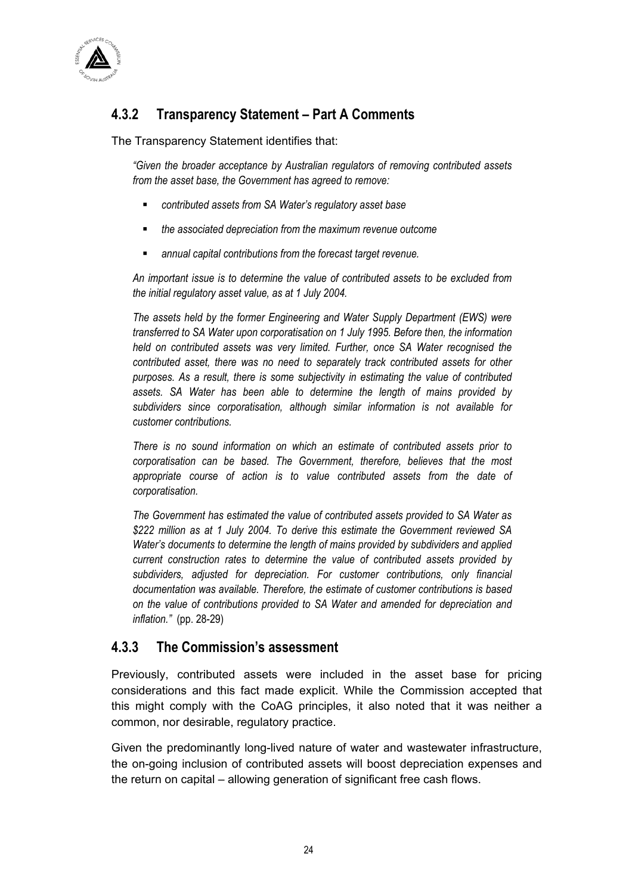

# **4.3.2 Transparency Statement – Part A Comments**

The Transparency Statement identifies that:

*"Given the broader acceptance by Australian regulators of removing contributed assets from the asset base, the Government has agreed to remove:* 

- *contributed assets from SA Water's regulatory asset base*
- *the associated depreciation from the maximum revenue outcome*
- *annual capital contributions from the forecast target revenue.*

*An important issue is to determine the value of contributed assets to be excluded from the initial regulatory asset value, as at 1 July 2004.* 

*The assets held by the former Engineering and Water Supply Department (EWS) were transferred to SA Water upon corporatisation on 1 July 1995. Before then, the information held on contributed assets was very limited. Further, once SA Water recognised the contributed asset, there was no need to separately track contributed assets for other purposes. As a result, there is some subjectivity in estimating the value of contributed assets. SA Water has been able to determine the length of mains provided by subdividers since corporatisation, although similar information is not available for customer contributions.* 

*There is no sound information on which an estimate of contributed assets prior to corporatisation can be based. The Government, therefore, believes that the most appropriate course of action is to value contributed assets from the date of corporatisation.* 

*The Government has estimated the value of contributed assets provided to SA Water as \$222 million as at 1 July 2004. To derive this estimate the Government reviewed SA Water's documents to determine the length of mains provided by subdividers and applied current construction rates to determine the value of contributed assets provided by subdividers, adjusted for depreciation. For customer contributions, only financial documentation was available. Therefore, the estimate of customer contributions is based on the value of contributions provided to SA Water and amended for depreciation and inflation."* (pp. 28-29)

## **4.3.3 The Commission's assessment**

Previously, contributed assets were included in the asset base for pricing considerations and this fact made explicit. While the Commission accepted that this might comply with the CoAG principles, it also noted that it was neither a common, nor desirable, regulatory practice.

Given the predominantly long-lived nature of water and wastewater infrastructure, the on-going inclusion of contributed assets will boost depreciation expenses and the return on capital – allowing generation of significant free cash flows.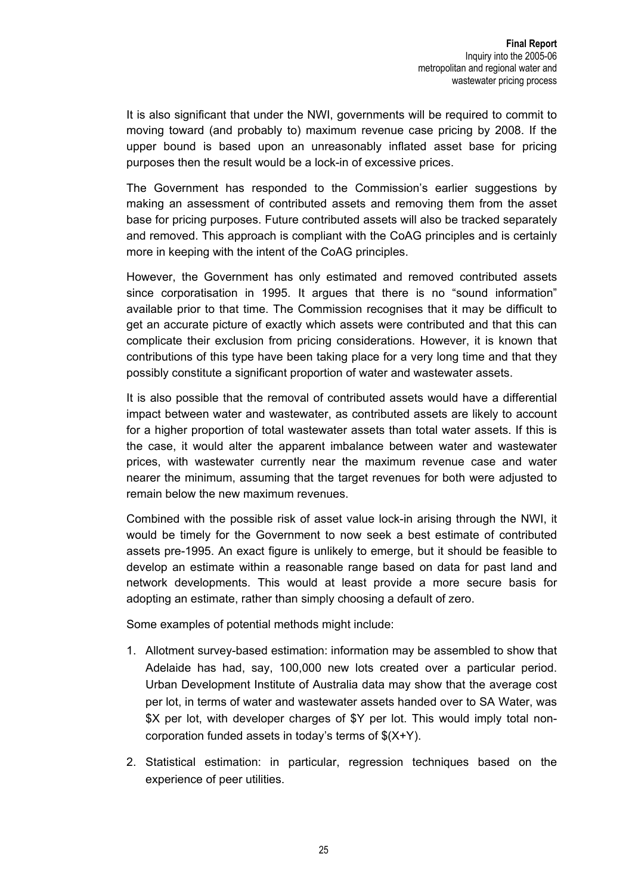It is also significant that under the NWI, governments will be required to commit to moving toward (and probably to) maximum revenue case pricing by 2008. If the upper bound is based upon an unreasonably inflated asset base for pricing purposes then the result would be a lock-in of excessive prices.

The Government has responded to the Commission's earlier suggestions by making an assessment of contributed assets and removing them from the asset base for pricing purposes. Future contributed assets will also be tracked separately and removed. This approach is compliant with the CoAG principles and is certainly more in keeping with the intent of the CoAG principles.

However, the Government has only estimated and removed contributed assets since corporatisation in 1995. It argues that there is no "sound information" available prior to that time. The Commission recognises that it may be difficult to get an accurate picture of exactly which assets were contributed and that this can complicate their exclusion from pricing considerations. However, it is known that contributions of this type have been taking place for a very long time and that they possibly constitute a significant proportion of water and wastewater assets.

It is also possible that the removal of contributed assets would have a differential impact between water and wastewater, as contributed assets are likely to account for a higher proportion of total wastewater assets than total water assets. If this is the case, it would alter the apparent imbalance between water and wastewater prices, with wastewater currently near the maximum revenue case and water nearer the minimum, assuming that the target revenues for both were adjusted to remain below the new maximum revenues.

Combined with the possible risk of asset value lock-in arising through the NWI, it would be timely for the Government to now seek a best estimate of contributed assets pre-1995. An exact figure is unlikely to emerge, but it should be feasible to develop an estimate within a reasonable range based on data for past land and network developments. This would at least provide a more secure basis for adopting an estimate, rather than simply choosing a default of zero.

Some examples of potential methods might include:

- 1. Allotment survey-based estimation: information may be assembled to show that Adelaide has had, say, 100,000 new lots created over a particular period. Urban Development Institute of Australia data may show that the average cost per lot, in terms of water and wastewater assets handed over to SA Water, was \$X per lot, with developer charges of \$Y per lot. This would imply total noncorporation funded assets in today's terms of \$(X+Y).
- 2. Statistical estimation: in particular, regression techniques based on the experience of peer utilities.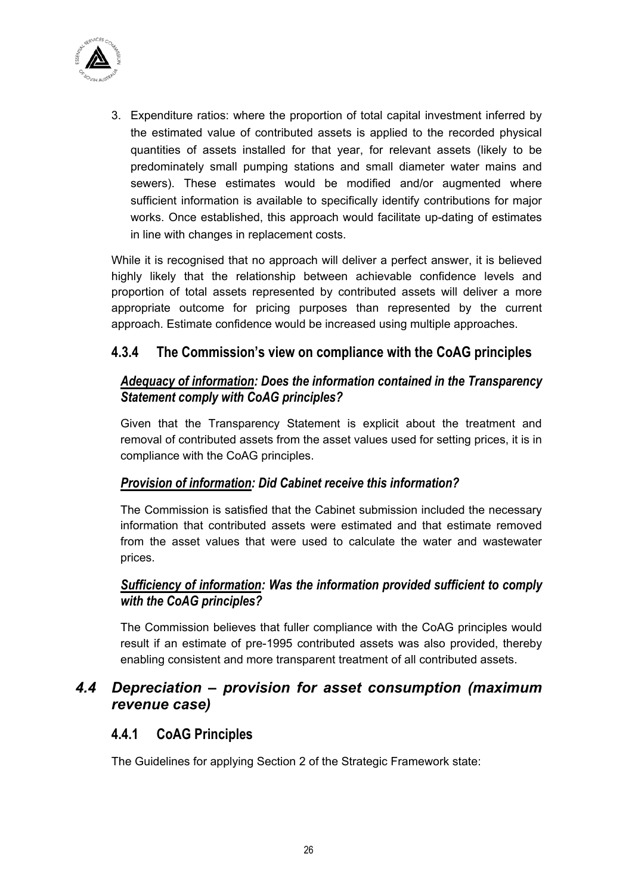

3. Expenditure ratios: where the proportion of total capital investment inferred by the estimated value of contributed assets is applied to the recorded physical quantities of assets installed for that year, for relevant assets (likely to be predominately small pumping stations and small diameter water mains and sewers). These estimates would be modified and/or augmented where sufficient information is available to specifically identify contributions for major works. Once established, this approach would facilitate up-dating of estimates in line with changes in replacement costs.

While it is recognised that no approach will deliver a perfect answer, it is believed highly likely that the relationship between achievable confidence levels and proportion of total assets represented by contributed assets will deliver a more appropriate outcome for pricing purposes than represented by the current approach. Estimate confidence would be increased using multiple approaches.

## **4.3.4 The Commission's view on compliance with the CoAG principles**

## *Adequacy of information: Does the information contained in the Transparency Statement comply with CoAG principles?*

Given that the Transparency Statement is explicit about the treatment and removal of contributed assets from the asset values used for setting prices, it is in compliance with the CoAG principles.

## *Provision of information: Did Cabinet receive this information?*

The Commission is satisfied that the Cabinet submission included the necessary information that contributed assets were estimated and that estimate removed from the asset values that were used to calculate the water and wastewater prices.

## *Sufficiency of information: Was the information provided sufficient to comply with the CoAG principles?*

The Commission believes that fuller compliance with the CoAG principles would result if an estimate of pre-1995 contributed assets was also provided, thereby enabling consistent and more transparent treatment of all contributed assets.

## *4.4 Depreciation – provision for asset consumption (maximum revenue case)*

## **4.4.1 CoAG Principles**

The Guidelines for applying Section 2 of the Strategic Framework state: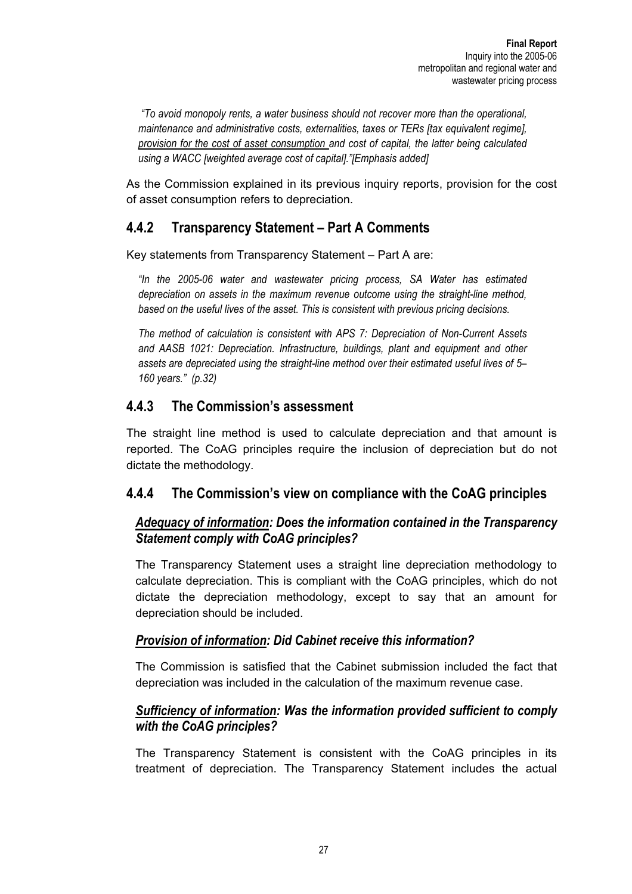*"To avoid monopoly rents, a water business should not recover more than the operational, maintenance and administrative costs, externalities, taxes or TERs [tax equivalent regime], provision for the cost of asset consumption and cost of capital, the latter being calculated using a WACC [weighted average cost of capital]."[Emphasis added]* 

As the Commission explained in its previous inquiry reports, provision for the cost of asset consumption refers to depreciation.

## **4.4.2 Transparency Statement – Part A Comments**

Key statements from Transparency Statement – Part A are:

*"In the 2005-06 water and wastewater pricing process, SA Water has estimated depreciation on assets in the maximum revenue outcome using the straight-line method, based on the useful lives of the asset. This is consistent with previous pricing decisions.* 

*The method of calculation is consistent with APS 7: Depreciation of Non-Current Assets and AASB 1021: Depreciation. Infrastructure, buildings, plant and equipment and other assets are depreciated using the straight-line method over their estimated useful lives of 5– 160 years." (p.32)* 

## **4.4.3 The Commission's assessment**

The straight line method is used to calculate depreciation and that amount is reported. The CoAG principles require the inclusion of depreciation but do not dictate the methodology.

## **4.4.4 The Commission's view on compliance with the CoAG principles**

## *Adequacy of information: Does the information contained in the Transparency Statement comply with CoAG principles?*

The Transparency Statement uses a straight line depreciation methodology to calculate depreciation. This is compliant with the CoAG principles, which do not dictate the depreciation methodology, except to say that an amount for depreciation should be included.

## *Provision of information: Did Cabinet receive this information?*

The Commission is satisfied that the Cabinet submission included the fact that depreciation was included in the calculation of the maximum revenue case.

## *Sufficiency of information: Was the information provided sufficient to comply with the CoAG principles?*

The Transparency Statement is consistent with the CoAG principles in its treatment of depreciation. The Transparency Statement includes the actual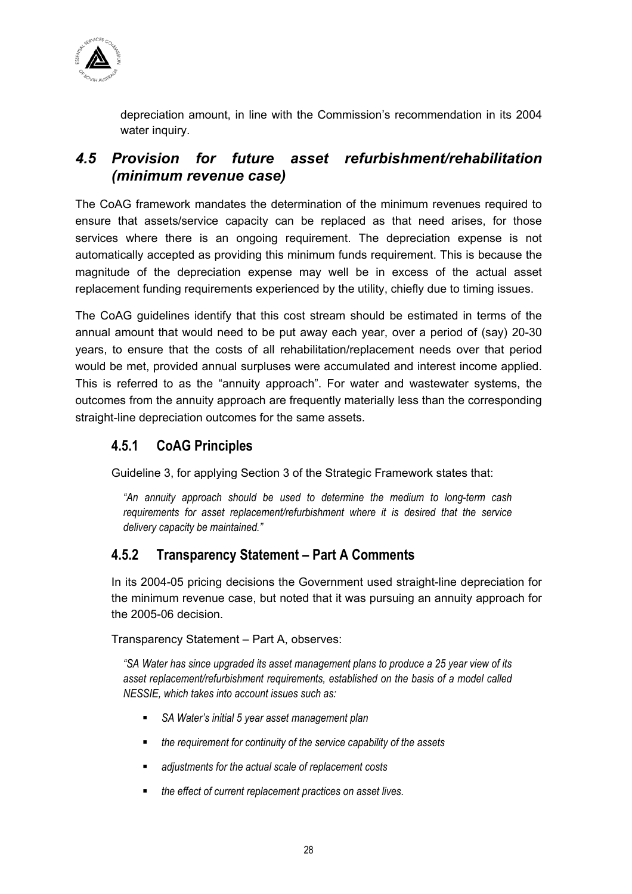

depreciation amount, in line with the Commission's recommendation in its 2004 water inquiry.

## *4.5 Provision for future asset refurbishment/rehabilitation (minimum revenue case)*

The CoAG framework mandates the determination of the minimum revenues required to ensure that assets/service capacity can be replaced as that need arises, for those services where there is an ongoing requirement. The depreciation expense is not automatically accepted as providing this minimum funds requirement. This is because the magnitude of the depreciation expense may well be in excess of the actual asset replacement funding requirements experienced by the utility, chiefly due to timing issues.

The CoAG guidelines identify that this cost stream should be estimated in terms of the annual amount that would need to be put away each year, over a period of (say) 20-30 years, to ensure that the costs of all rehabilitation/replacement needs over that period would be met, provided annual surpluses were accumulated and interest income applied. This is referred to as the "annuity approach". For water and wastewater systems, the outcomes from the annuity approach are frequently materially less than the corresponding straight-line depreciation outcomes for the same assets.

## **4.5.1 CoAG Principles**

Guideline 3, for applying Section 3 of the Strategic Framework states that:

*"An annuity approach should be used to determine the medium to long-term cash requirements for asset replacement/refurbishment where it is desired that the service delivery capacity be maintained."* 

## **4.5.2 Transparency Statement – Part A Comments**

In its 2004-05 pricing decisions the Government used straight-line depreciation for the minimum revenue case, but noted that it was pursuing an annuity approach for the 2005-06 decision.

#### Transparency Statement – Part A, observes:

*"SA Water has since upgraded its asset management plans to produce a 25 year view of its asset replacement/refurbishment requirements, established on the basis of a model called NESSIE, which takes into account issues such as:* 

- *SA Water's initial 5 year asset management plan*
- *the requirement for continuity of the service capability of the assets*
- *adjustments for the actual scale of replacement costs*
- *the effect of current replacement practices on asset lives.*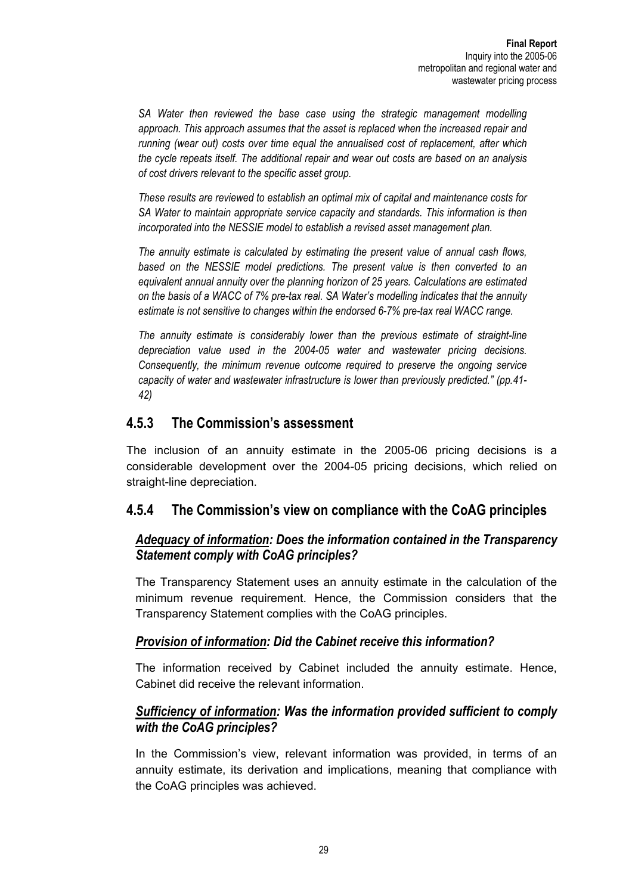SA Water then reviewed the base case using the strategic management modelling *approach. This approach assumes that the asset is replaced when the increased repair and running (wear out) costs over time equal the annualised cost of replacement, after which the cycle repeats itself. The additional repair and wear out costs are based on an analysis of cost drivers relevant to the specific asset group.* 

*These results are reviewed to establish an optimal mix of capital and maintenance costs for SA Water to maintain appropriate service capacity and standards. This information is then incorporated into the NESSIE model to establish a revised asset management plan.* 

*The annuity estimate is calculated by estimating the present value of annual cash flows,*  based on the NESSIE model predictions. The present value is then converted to an *equivalent annual annuity over the planning horizon of 25 years. Calculations are estimated on the basis of a WACC of 7% pre-tax real. SA Water's modelling indicates that the annuity estimate is not sensitive to changes within the endorsed 6-7% pre-tax real WACC range.* 

*The annuity estimate is considerably lower than the previous estimate of straight-line depreciation value used in the 2004-05 water and wastewater pricing decisions. Consequently, the minimum revenue outcome required to preserve the ongoing service capacity of water and wastewater infrastructure is lower than previously predicted." (pp.41- 42)* 

## **4.5.3 The Commission's assessment**

The inclusion of an annuity estimate in the 2005-06 pricing decisions is a considerable development over the 2004-05 pricing decisions, which relied on straight-line depreciation.

## **4.5.4 The Commission's view on compliance with the CoAG principles**

## *Adequacy of information: Does the information contained in the Transparency Statement comply with CoAG principles?*

The Transparency Statement uses an annuity estimate in the calculation of the minimum revenue requirement. Hence, the Commission considers that the Transparency Statement complies with the CoAG principles.

#### *Provision of information: Did the Cabinet receive this information?*

The information received by Cabinet included the annuity estimate. Hence, Cabinet did receive the relevant information.

## *Sufficiency of information: Was the information provided sufficient to comply with the CoAG principles?*

In the Commission's view, relevant information was provided, in terms of an annuity estimate, its derivation and implications, meaning that compliance with the CoAG principles was achieved.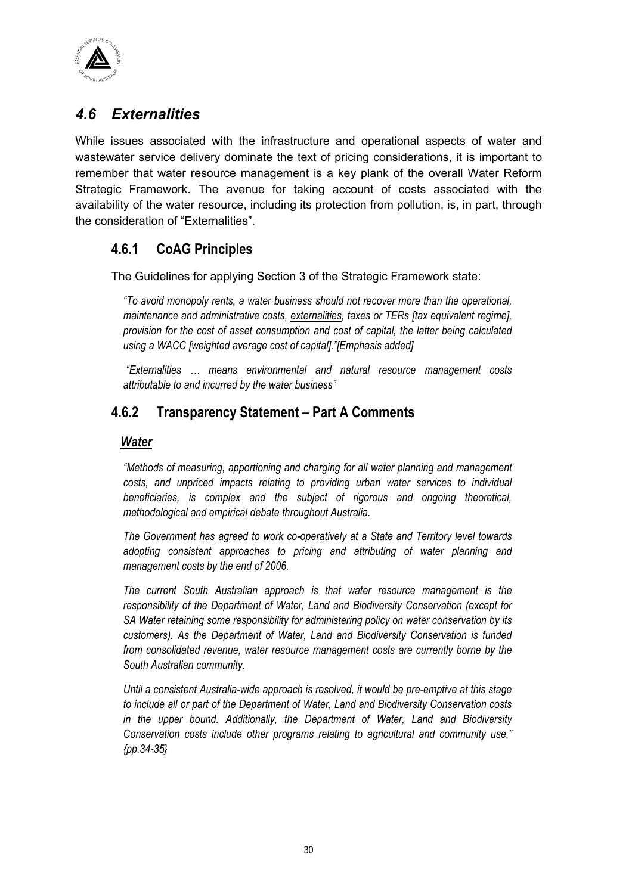

# *4.6 Externalities*

While issues associated with the infrastructure and operational aspects of water and wastewater service delivery dominate the text of pricing considerations, it is important to remember that water resource management is a key plank of the overall Water Reform Strategic Framework. The avenue for taking account of costs associated with the availability of the water resource, including its protection from pollution, is, in part, through the consideration of "Externalities".

## **4.6.1 CoAG Principles**

The Guidelines for applying Section 3 of the Strategic Framework state:

*"To avoid monopoly rents, a water business should not recover more than the operational, maintenance and administrative costs, externalities, taxes or TERs [tax equivalent regime], provision for the cost of asset consumption and cost of capital, the latter being calculated using a WACC [weighted average cost of capital]."[Emphasis added]* 

 *"Externalities … means environmental and natural resource management costs attributable to and incurred by the water business"* 

## **4.6.2 Transparency Statement – Part A Comments**

#### *Water*

*"Methods of measuring, apportioning and charging for all water planning and management costs, and unpriced impacts relating to providing urban water services to individual beneficiaries, is complex and the subject of rigorous and ongoing theoretical, methodological and empirical debate throughout Australia.* 

*The Government has agreed to work co-operatively at a State and Territory level towards adopting consistent approaches to pricing and attributing of water planning and management costs by the end of 2006.* 

*The current South Australian approach is that water resource management is the responsibility of the Department of Water, Land and Biodiversity Conservation (except for SA Water retaining some responsibility for administering policy on water conservation by its customers). As the Department of Water, Land and Biodiversity Conservation is funded from consolidated revenue, water resource management costs are currently borne by the South Australian community.* 

*Until a consistent Australia-wide approach is resolved, it would be pre-emptive at this stage to include all or part of the Department of Water, Land and Biodiversity Conservation costs in the upper bound. Additionally, the Department of Water, Land and Biodiversity Conservation costs include other programs relating to agricultural and community use." {pp.34-35}*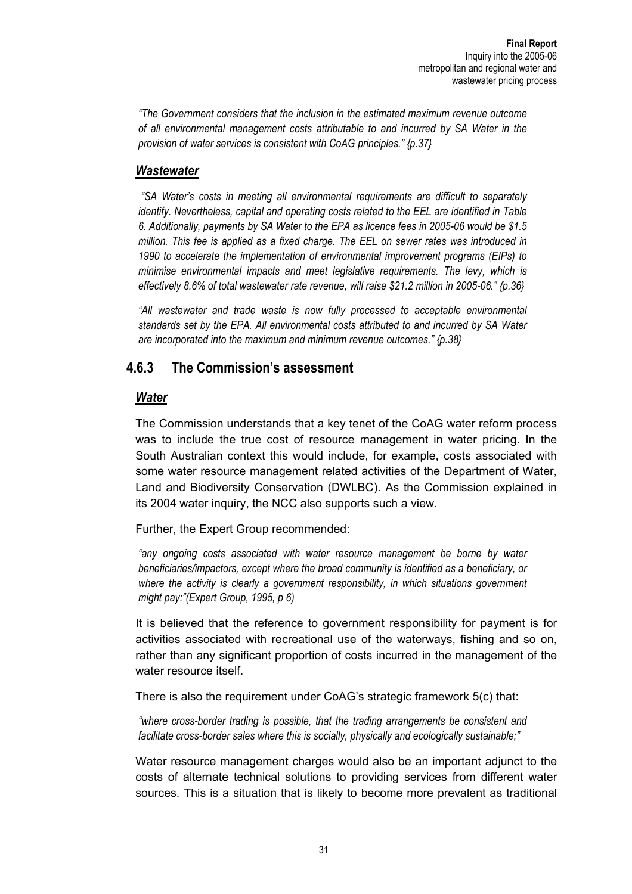*"The Government considers that the inclusion in the estimated maximum revenue outcome of all environmental management costs attributable to and incurred by SA Water in the provision of water services is consistent with CoAG principles." {p.37}* 

#### *Wastewater*

 *"SA Water's costs in meeting all environmental requirements are difficult to separately identify. Nevertheless, capital and operating costs related to the EEL are identified in Table 6. Additionally, payments by SA Water to the EPA as licence fees in 2005-06 would be \$1.5 million. This fee is applied as a fixed charge. The EEL on sewer rates was introduced in 1990 to accelerate the implementation of environmental improvement programs (EIPs) to minimise environmental impacts and meet legislative requirements. The levy, which is effectively 8.6% of total wastewater rate revenue, will raise \$21.2 million in 2005-06." {p.36}* 

"All wastewater and trade waste is now fully processed to acceptable environmental *standards set by the EPA. All environmental costs attributed to and incurred by SA Water are incorporated into the maximum and minimum revenue outcomes." {p.38}* 

## **4.6.3 The Commission's assessment**

## *Water*

The Commission understands that a key tenet of the CoAG water reform process was to include the true cost of resource management in water pricing. In the South Australian context this would include, for example, costs associated with some water resource management related activities of the Department of Water, Land and Biodiversity Conservation (DWLBC). As the Commission explained in its 2004 water inquiry, the NCC also supports such a view.

Further, the Expert Group recommended:

*"any ongoing costs associated with water resource management be borne by water beneficiaries/impactors, except where the broad community is identified as a beneficiary, or where the activity is clearly a government responsibility, in which situations government might pay:"(Expert Group, 1995, p 6)* 

It is believed that the reference to government responsibility for payment is for activities associated with recreational use of the waterways, fishing and so on, rather than any significant proportion of costs incurred in the management of the water resource itself.

There is also the requirement under CoAG's strategic framework 5(c) that:

*"where cross-border trading is possible, that the trading arrangements be consistent and facilitate cross-border sales where this is socially, physically and ecologically sustainable;"* 

Water resource management charges would also be an important adjunct to the costs of alternate technical solutions to providing services from different water sources. This is a situation that is likely to become more prevalent as traditional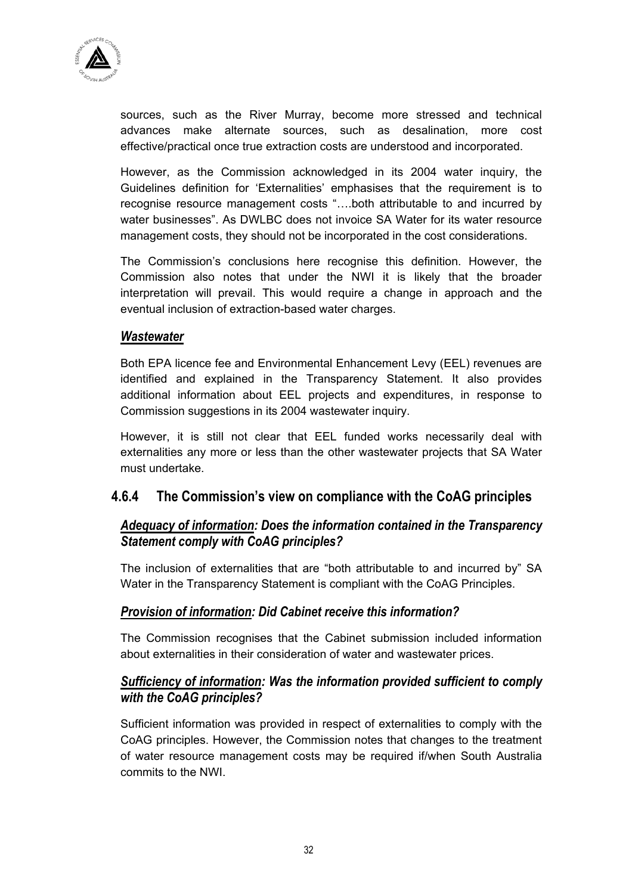

sources, such as the River Murray, become more stressed and technical advances make alternate sources, such as desalination, more cost effective/practical once true extraction costs are understood and incorporated.

However, as the Commission acknowledged in its 2004 water inquiry, the Guidelines definition for 'Externalities' emphasises that the requirement is to recognise resource management costs "….both attributable to and incurred by water businesses". As DWLBC does not invoice SA Water for its water resource management costs, they should not be incorporated in the cost considerations.

The Commission's conclusions here recognise this definition. However, the Commission also notes that under the NWI it is likely that the broader interpretation will prevail. This would require a change in approach and the eventual inclusion of extraction-based water charges.

#### *Wastewater*

Both EPA licence fee and Environmental Enhancement Levy (EEL) revenues are identified and explained in the Transparency Statement. It also provides additional information about EEL projects and expenditures, in response to Commission suggestions in its 2004 wastewater inquiry.

However, it is still not clear that EEL funded works necessarily deal with externalities any more or less than the other wastewater projects that SA Water must undertake.

## **4.6.4 The Commission's view on compliance with the CoAG principles**

## *Adequacy of information: Does the information contained in the Transparency Statement comply with CoAG principles?*

The inclusion of externalities that are "both attributable to and incurred by" SA Water in the Transparency Statement is compliant with the CoAG Principles.

## *Provision of information: Did Cabinet receive this information?*

The Commission recognises that the Cabinet submission included information about externalities in their consideration of water and wastewater prices.

## *Sufficiency of information: Was the information provided sufficient to comply with the CoAG principles?*

Sufficient information was provided in respect of externalities to comply with the CoAG principles. However, the Commission notes that changes to the treatment of water resource management costs may be required if/when South Australia commits to the NWI.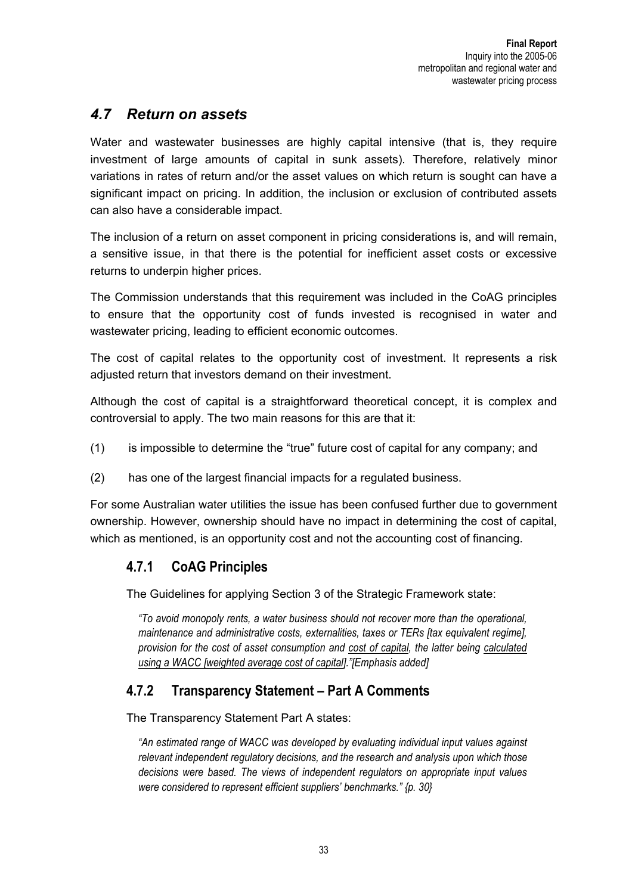# *4.7 Return on assets*

Water and wastewater businesses are highly capital intensive (that is, they require investment of large amounts of capital in sunk assets). Therefore, relatively minor variations in rates of return and/or the asset values on which return is sought can have a significant impact on pricing. In addition, the inclusion or exclusion of contributed assets can also have a considerable impact.

The inclusion of a return on asset component in pricing considerations is, and will remain, a sensitive issue, in that there is the potential for inefficient asset costs or excessive returns to underpin higher prices.

The Commission understands that this requirement was included in the CoAG principles to ensure that the opportunity cost of funds invested is recognised in water and wastewater pricing, leading to efficient economic outcomes.

The cost of capital relates to the opportunity cost of investment. It represents a risk adjusted return that investors demand on their investment.

Although the cost of capital is a straightforward theoretical concept, it is complex and controversial to apply. The two main reasons for this are that it:

- (1) is impossible to determine the "true" future cost of capital for any company; and
- (2) has one of the largest financial impacts for a regulated business.

For some Australian water utilities the issue has been confused further due to government ownership. However, ownership should have no impact in determining the cost of capital, which as mentioned, is an opportunity cost and not the accounting cost of financing.

## **4.7.1 CoAG Principles**

The Guidelines for applying Section 3 of the Strategic Framework state:

*"To avoid monopoly rents, a water business should not recover more than the operational, maintenance and administrative costs, externalities, taxes or TERs [tax equivalent regime], provision for the cost of asset consumption and cost of capital, the latter being calculated using a WACC [weighted average cost of capital]."[Emphasis added]* 

## **4.7.2 Transparency Statement – Part A Comments**

The Transparency Statement Part A states:

*"An estimated range of WACC was developed by evaluating individual input values against relevant independent regulatory decisions, and the research and analysis upon which those decisions were based. The views of independent regulators on appropriate input values were considered to represent efficient suppliers' benchmarks." {p. 30}*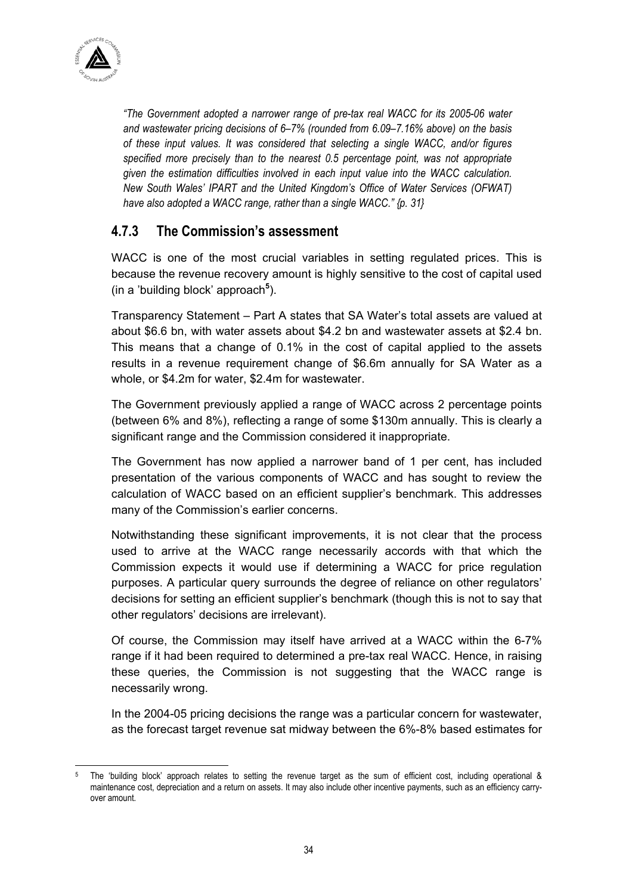

*"The Government adopted a narrower range of pre-tax real WACC for its 2005-06 water and wastewater pricing decisions of 6–7% (rounded from 6.09–7.16% above) on the basis of these input values. It was considered that selecting a single WACC, and/or figures specified more precisely than to the nearest 0.5 percentage point, was not appropriate given the estimation difficulties involved in each input value into the WACC calculation. New South Wales' IPART and the United Kingdom's Office of Water Services (OFWAT) have also adopted a WACC range, rather than a single WACC." {p. 31}* 

## **4.7.3 The Commission's assessment**

WACC is one of the most crucial variables in setting regulated prices. This is because the revenue recovery amount is highly sensitive to the cost of capital used (in a 'building block' approach**<sup>5</sup>** ).

Transparency Statement – Part A states that SA Water's total assets are valued at about \$6.6 bn, with water assets about \$4.2 bn and wastewater assets at \$2.4 bn. This means that a change of 0.1% in the cost of capital applied to the assets results in a revenue requirement change of \$6.6m annually for SA Water as a whole, or \$4.2m for water, \$2.4m for wastewater.

The Government previously applied a range of WACC across 2 percentage points (between 6% and 8%), reflecting a range of some \$130m annually. This is clearly a significant range and the Commission considered it inappropriate.

The Government has now applied a narrower band of 1 per cent, has included presentation of the various components of WACC and has sought to review the calculation of WACC based on an efficient supplier's benchmark. This addresses many of the Commission's earlier concerns.

Notwithstanding these significant improvements, it is not clear that the process used to arrive at the WACC range necessarily accords with that which the Commission expects it would use if determining a WACC for price regulation purposes. A particular query surrounds the degree of reliance on other regulators' decisions for setting an efficient supplier's benchmark (though this is not to say that other regulators' decisions are irrelevant).

Of course, the Commission may itself have arrived at a WACC within the 6-7% range if it had been required to determined a pre-tax real WACC. Hence, in raising these queries, the Commission is not suggesting that the WACC range is necessarily wrong.

In the 2004-05 pricing decisions the range was a particular concern for wastewater, as the forecast target revenue sat midway between the 6%-8% based estimates for

 $\overline{a}$ 5 The 'building block' approach relates to setting the revenue target as the sum of efficient cost, including operational & maintenance cost, depreciation and a return on assets. It may also include other incentive payments, such as an efficiency carryover amount.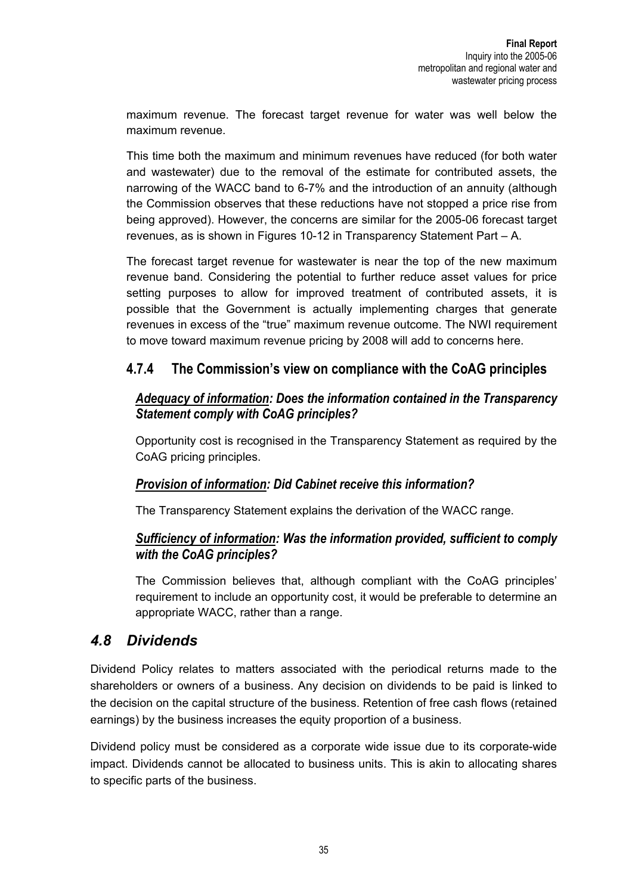maximum revenue. The forecast target revenue for water was well below the maximum revenue.

This time both the maximum and minimum revenues have reduced (for both water and wastewater) due to the removal of the estimate for contributed assets, the narrowing of the WACC band to 6-7% and the introduction of an annuity (although the Commission observes that these reductions have not stopped a price rise from being approved). However, the concerns are similar for the 2005-06 forecast target revenues, as is shown in Figures 10-12 in Transparency Statement Part – A.

The forecast target revenue for wastewater is near the top of the new maximum revenue band. Considering the potential to further reduce asset values for price setting purposes to allow for improved treatment of contributed assets, it is possible that the Government is actually implementing charges that generate revenues in excess of the "true" maximum revenue outcome. The NWI requirement to move toward maximum revenue pricing by 2008 will add to concerns here.

## **4.7.4 The Commission's view on compliance with the CoAG principles**

#### *Adequacy of information: Does the information contained in the Transparency Statement comply with CoAG principles?*

Opportunity cost is recognised in the Transparency Statement as required by the CoAG pricing principles.

## *Provision of information: Did Cabinet receive this information?*

The Transparency Statement explains the derivation of the WACC range.

## *Sufficiency of information: Was the information provided, sufficient to comply with the CoAG principles?*

The Commission believes that, although compliant with the CoAG principles' requirement to include an opportunity cost, it would be preferable to determine an appropriate WACC, rather than a range.

## *4.8 Dividends*

Dividend Policy relates to matters associated with the periodical returns made to the shareholders or owners of a business. Any decision on dividends to be paid is linked to the decision on the capital structure of the business. Retention of free cash flows (retained earnings) by the business increases the equity proportion of a business.

Dividend policy must be considered as a corporate wide issue due to its corporate-wide impact. Dividends cannot be allocated to business units. This is akin to allocating shares to specific parts of the business.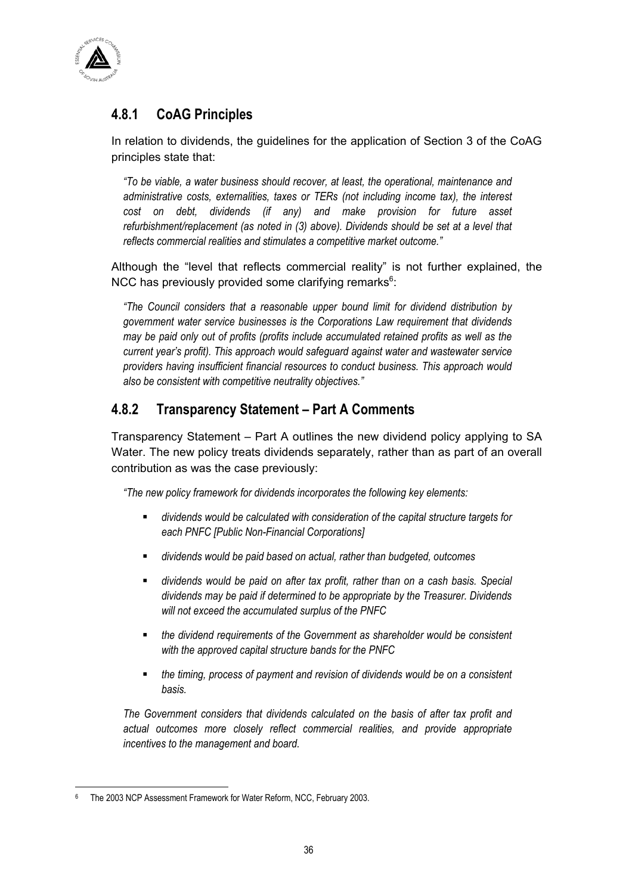

# **4.8.1 CoAG Principles**

In relation to dividends, the guidelines for the application of Section 3 of the CoAG principles state that:

*"To be viable, a water business should recover, at least, the operational, maintenance and administrative costs, externalities, taxes or TERs (not including income tax), the interest cost on debt, dividends (if any) and make provision for future asset refurbishment/replacement (as noted in (3) above). Dividends should be set at a level that reflects commercial realities and stimulates a competitive market outcome."* 

Although the "level that reflects commercial reality" is not further explained, the NCC has previously provided some clarifying remarks $6$ :

*"The Council considers that a reasonable upper bound limit for dividend distribution by government water service businesses is the Corporations Law requirement that dividends may be paid only out of profits (profits include accumulated retained profits as well as the current year's profit). This approach would safeguard against water and wastewater service providers having insufficient financial resources to conduct business. This approach would also be consistent with competitive neutrality objectives."* 

## **4.8.2 Transparency Statement – Part A Comments**

Transparency Statement – Part A outlines the new dividend policy applying to SA Water. The new policy treats dividends separately, rather than as part of an overall contribution as was the case previously:

*"The new policy framework for dividends incorporates the following key elements:* 

- *dividends would be calculated with consideration of the capital structure targets for each PNFC [Public Non-Financial Corporations]*
- *dividends would be paid based on actual, rather than budgeted, outcomes*
- *dividends would be paid on after tax profit, rather than on a cash basis. Special dividends may be paid if determined to be appropriate by the Treasurer. Dividends will not exceed the accumulated surplus of the PNFC*
- *the dividend requirements of the Government as shareholder would be consistent with the approved capital structure bands for the PNFC*
- *the timing, process of payment and revision of dividends would be on a consistent basis.*

*The Government considers that dividends calculated on the basis of after tax profit and actual outcomes more closely reflect commercial realities, and provide appropriate incentives to the management and board.* 

 $\overline{a}$ 6 The 2003 NCP Assessment Framework for Water Reform, NCC, February 2003.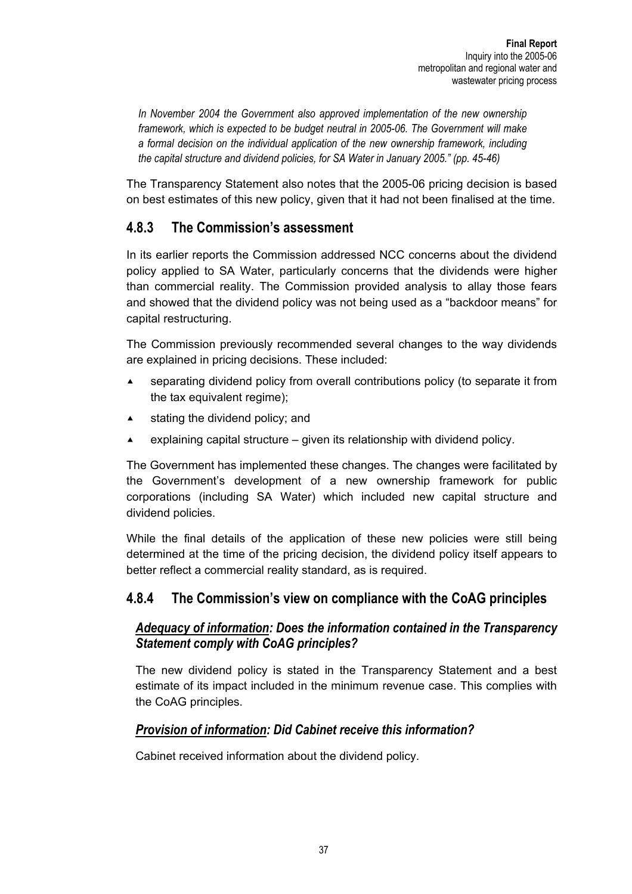*In November 2004 the Government also approved implementation of the new ownership framework, which is expected to be budget neutral in 2005-06. The Government will make a formal decision on the individual application of the new ownership framework, including the capital structure and dividend policies, for SA Water in January 2005." (pp. 45-46)* 

The Transparency Statement also notes that the 2005-06 pricing decision is based on best estimates of this new policy, given that it had not been finalised at the time.

## **4.8.3 The Commission's assessment**

In its earlier reports the Commission addressed NCC concerns about the dividend policy applied to SA Water, particularly concerns that the dividends were higher than commercial reality. The Commission provided analysis to allay those fears and showed that the dividend policy was not being used as a "backdoor means" for capital restructuring.

The Commission previously recommended several changes to the way dividends are explained in pricing decisions. These included:

- $\triangle$  separating dividend policy from overall contributions policy (to separate it from the tax equivalent regime);
- $\triangle$  stating the dividend policy; and
- **Explaining capital structure given its relationship with dividend policy.**

The Government has implemented these changes. The changes were facilitated by the Government's development of a new ownership framework for public corporations (including SA Water) which included new capital structure and dividend policies.

While the final details of the application of these new policies were still being determined at the time of the pricing decision, the dividend policy itself appears to better reflect a commercial reality standard, as is required.

## **4.8.4 The Commission's view on compliance with the CoAG principles**

## *Adequacy of information: Does the information contained in the Transparency Statement comply with CoAG principles?*

The new dividend policy is stated in the Transparency Statement and a best estimate of its impact included in the minimum revenue case. This complies with the CoAG principles.

## *Provision of information: Did Cabinet receive this information?*

Cabinet received information about the dividend policy.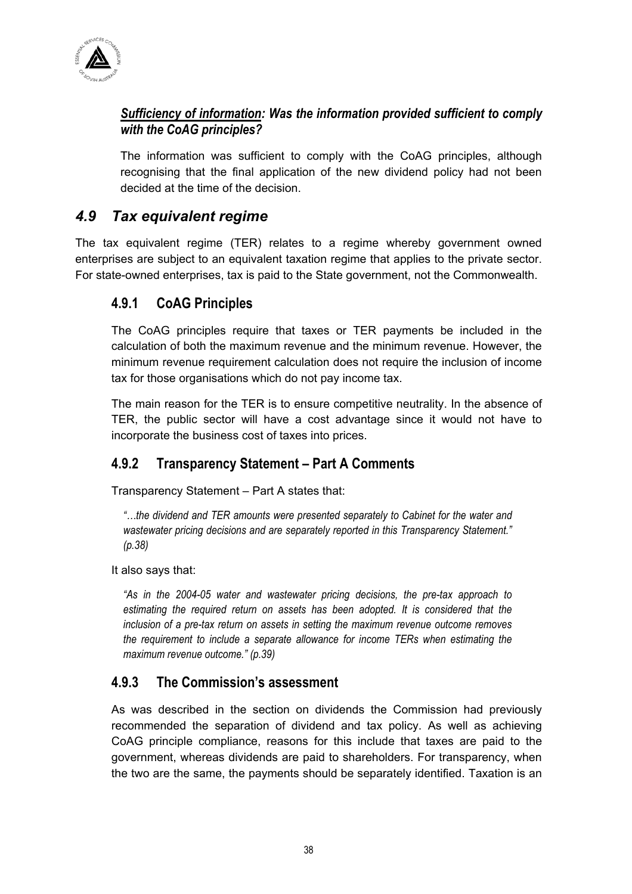

## *Sufficiency of information: Was the information provided sufficient to comply with the CoAG principles?*

The information was sufficient to comply with the CoAG principles, although recognising that the final application of the new dividend policy had not been decided at the time of the decision.

# *4.9 Tax equivalent regime*

The tax equivalent regime (TER) relates to a regime whereby government owned enterprises are subject to an equivalent taxation regime that applies to the private sector. For state-owned enterprises, tax is paid to the State government, not the Commonwealth.

## **4.9.1 CoAG Principles**

The CoAG principles require that taxes or TER payments be included in the calculation of both the maximum revenue and the minimum revenue. However, the minimum revenue requirement calculation does not require the inclusion of income tax for those organisations which do not pay income tax.

The main reason for the TER is to ensure competitive neutrality. In the absence of TER, the public sector will have a cost advantage since it would not have to incorporate the business cost of taxes into prices.

# **4.9.2 Transparency Statement – Part A Comments**

Transparency Statement – Part A states that:

*"…the dividend and TER amounts were presented separately to Cabinet for the water and wastewater pricing decisions and are separately reported in this Transparency Statement." (p.38)* 

It also says that:

*"As in the 2004-05 water and wastewater pricing decisions, the pre-tax approach to*  estimating the required return on assets has been adopted. It is considered that the *inclusion of a pre-tax return on assets in setting the maximum revenue outcome removes the requirement to include a separate allowance for income TERs when estimating the maximum revenue outcome." (p.39)* 

# **4.9.3 The Commission's assessment**

As was described in the section on dividends the Commission had previously recommended the separation of dividend and tax policy. As well as achieving CoAG principle compliance, reasons for this include that taxes are paid to the government, whereas dividends are paid to shareholders. For transparency, when the two are the same, the payments should be separately identified. Taxation is an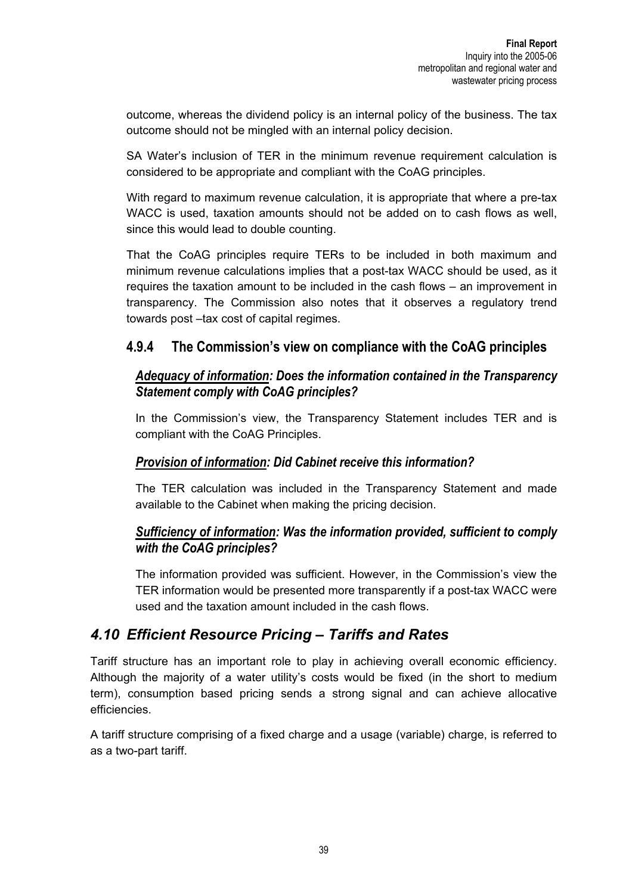outcome, whereas the dividend policy is an internal policy of the business. The tax outcome should not be mingled with an internal policy decision.

SA Water's inclusion of TER in the minimum revenue requirement calculation is considered to be appropriate and compliant with the CoAG principles.

With regard to maximum revenue calculation, it is appropriate that where a pre-tax WACC is used, taxation amounts should not be added on to cash flows as well, since this would lead to double counting.

That the CoAG principles require TERs to be included in both maximum and minimum revenue calculations implies that a post-tax WACC should be used, as it requires the taxation amount to be included in the cash flows – an improvement in transparency. The Commission also notes that it observes a regulatory trend towards post –tax cost of capital regimes.

## **4.9.4 The Commission's view on compliance with the CoAG principles**

## *Adequacy of information: Does the information contained in the Transparency Statement comply with CoAG principles?*

In the Commission's view, the Transparency Statement includes TER and is compliant with the CoAG Principles.

## *Provision of information: Did Cabinet receive this information?*

The TER calculation was included in the Transparency Statement and made available to the Cabinet when making the pricing decision.

## *Sufficiency of information: Was the information provided, sufficient to comply with the CoAG principles?*

The information provided was sufficient. However, in the Commission's view the TER information would be presented more transparently if a post-tax WACC were used and the taxation amount included in the cash flows.

# *4.10 Efficient Resource Pricing – Tariffs and Rates*

Tariff structure has an important role to play in achieving overall economic efficiency. Although the majority of a water utility's costs would be fixed (in the short to medium term), consumption based pricing sends a strong signal and can achieve allocative efficiencies.

A tariff structure comprising of a fixed charge and a usage (variable) charge, is referred to as a two-part tariff.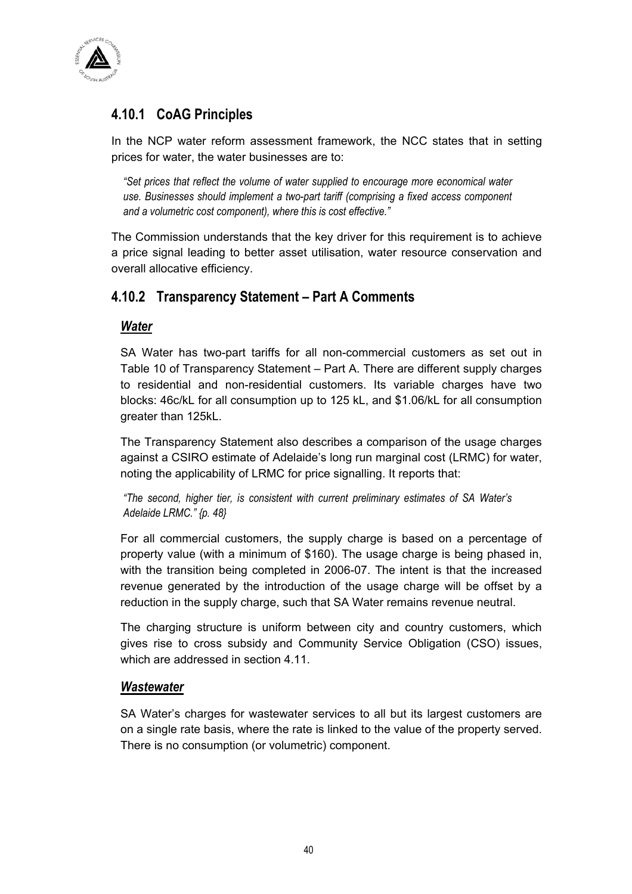

# **4.10.1 CoAG Principles**

In the NCP water reform assessment framework, the NCC states that in setting prices for water, the water businesses are to:

*"Set prices that reflect the volume of water supplied to encourage more economical water use. Businesses should implement a two-part tariff (comprising a fixed access component and a volumetric cost component), where this is cost effective."* 

The Commission understands that the key driver for this requirement is to achieve a price signal leading to better asset utilisation, water resource conservation and overall allocative efficiency.

## **4.10.2 Transparency Statement – Part A Comments**

#### *Water*

SA Water has two-part tariffs for all non-commercial customers as set out in Table 10 of Transparency Statement – Part A. There are different supply charges to residential and non-residential customers. Its variable charges have two blocks: 46c/kL for all consumption up to 125 kL, and \$1.06/kL for all consumption greater than 125kL.

The Transparency Statement also describes a comparison of the usage charges against a CSIRO estimate of Adelaide's long run marginal cost (LRMC) for water, noting the applicability of LRMC for price signalling. It reports that:

*"The second, higher tier, is consistent with current preliminary estimates of SA Water's Adelaide LRMC." {p. 48}* 

For all commercial customers, the supply charge is based on a percentage of property value (with a minimum of \$160). The usage charge is being phased in, with the transition being completed in 2006-07. The intent is that the increased revenue generated by the introduction of the usage charge will be offset by a reduction in the supply charge, such that SA Water remains revenue neutral.

The charging structure is uniform between city and country customers, which gives rise to cross subsidy and Community Service Obligation (CSO) issues, which are addressed in section 4.11.

#### *Wastewater*

SA Water's charges for wastewater services to all but its largest customers are on a single rate basis, where the rate is linked to the value of the property served. There is no consumption (or volumetric) component.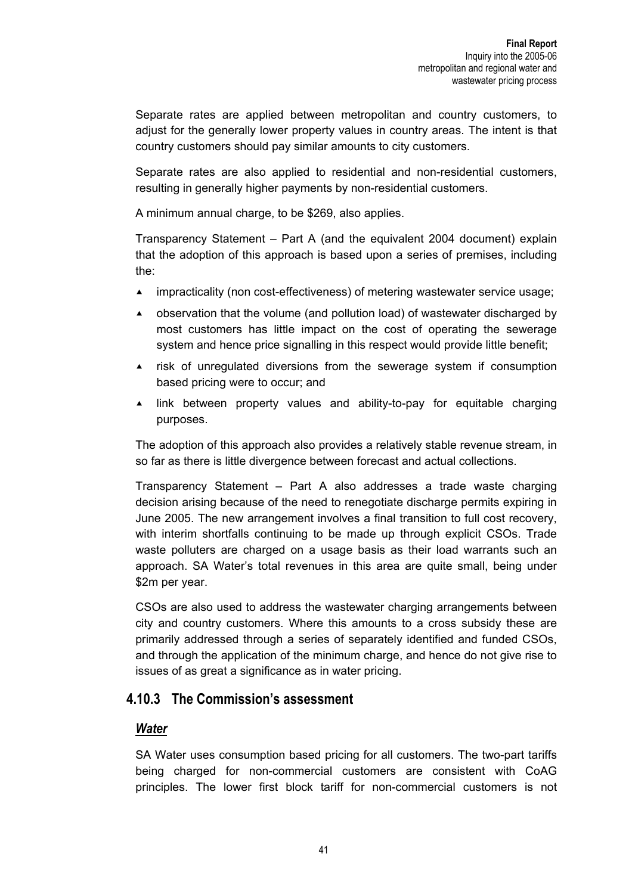Separate rates are applied between metropolitan and country customers, to adjust for the generally lower property values in country areas. The intent is that country customers should pay similar amounts to city customers.

Separate rates are also applied to residential and non-residential customers, resulting in generally higher payments by non-residential customers.

A minimum annual charge, to be \$269, also applies.

Transparency Statement – Part A (and the equivalent 2004 document) explain that the adoption of this approach is based upon a series of premises, including the:

- **impracticality (non cost-effectiveness) of metering wastewater service usage;**
- $\triangle$  observation that the volume (and pollution load) of wastewater discharged by most customers has little impact on the cost of operating the sewerage system and hence price signalling in this respect would provide little benefit;
- **Example 2** risk of unregulated diversions from the sewerage system if consumption based pricing were to occur; and
- $\blacktriangle$  link between property values and ability-to-pay for equitable charging purposes.

The adoption of this approach also provides a relatively stable revenue stream, in so far as there is little divergence between forecast and actual collections.

Transparency Statement – Part A also addresses a trade waste charging decision arising because of the need to renegotiate discharge permits expiring in June 2005. The new arrangement involves a final transition to full cost recovery, with interim shortfalls continuing to be made up through explicit CSOs. Trade waste polluters are charged on a usage basis as their load warrants such an approach. SA Water's total revenues in this area are quite small, being under \$2m per year.

CSOs are also used to address the wastewater charging arrangements between city and country customers. Where this amounts to a cross subsidy these are primarily addressed through a series of separately identified and funded CSOs, and through the application of the minimum charge, and hence do not give rise to issues of as great a significance as in water pricing.

## **4.10.3 The Commission's assessment**

#### *Water*

SA Water uses consumption based pricing for all customers. The two-part tariffs being charged for non-commercial customers are consistent with CoAG principles. The lower first block tariff for non-commercial customers is not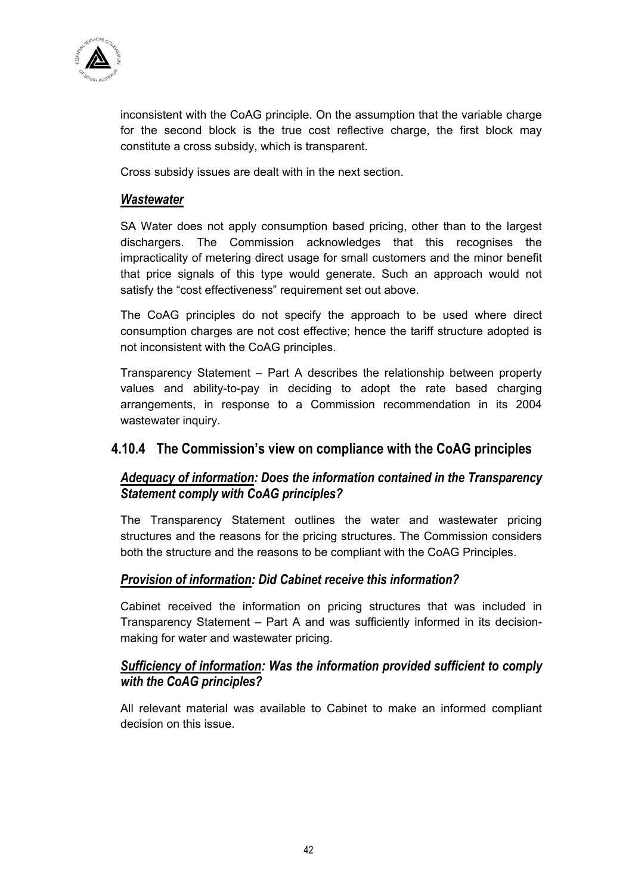

inconsistent with the CoAG principle. On the assumption that the variable charge for the second block is the true cost reflective charge, the first block may constitute a cross subsidy, which is transparent.

Cross subsidy issues are dealt with in the next section.

#### *Wastewater*

SA Water does not apply consumption based pricing, other than to the largest dischargers. The Commission acknowledges that this recognises the impracticality of metering direct usage for small customers and the minor benefit that price signals of this type would generate. Such an approach would not satisfy the "cost effectiveness" requirement set out above.

The CoAG principles do not specify the approach to be used where direct consumption charges are not cost effective; hence the tariff structure adopted is not inconsistent with the CoAG principles.

Transparency Statement – Part A describes the relationship between property values and ability-to-pay in deciding to adopt the rate based charging arrangements, in response to a Commission recommendation in its 2004 wastewater inquiry.

#### **4.10.4 The Commission's view on compliance with the CoAG principles**

## *Adequacy of information: Does the information contained in the Transparency Statement comply with CoAG principles?*

The Transparency Statement outlines the water and wastewater pricing structures and the reasons for the pricing structures. The Commission considers both the structure and the reasons to be compliant with the CoAG Principles.

## *Provision of information: Did Cabinet receive this information?*

Cabinet received the information on pricing structures that was included in Transparency Statement – Part A and was sufficiently informed in its decisionmaking for water and wastewater pricing.

#### *Sufficiency of information: Was the information provided sufficient to comply with the CoAG principles?*

All relevant material was available to Cabinet to make an informed compliant decision on this issue.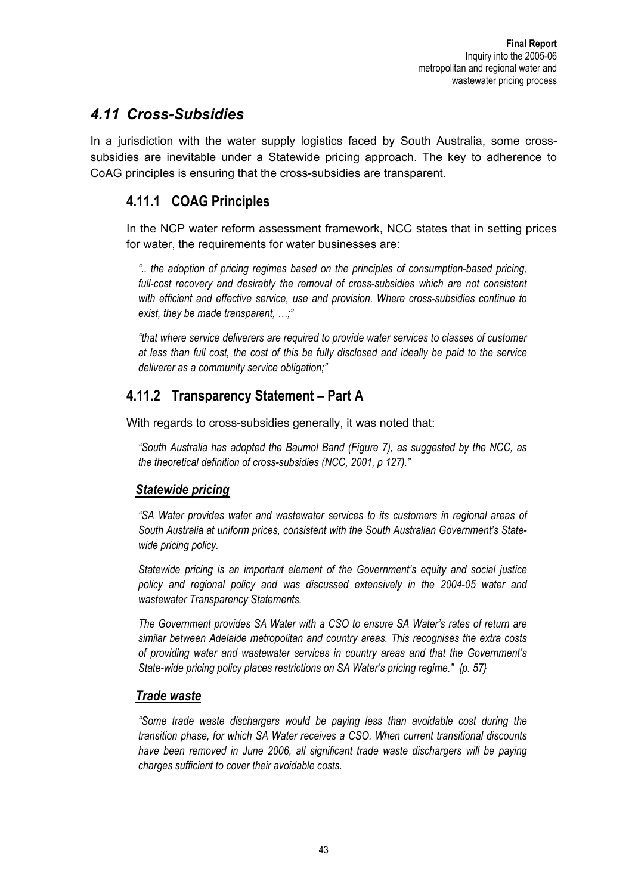## *4.11 Cross-Subsidies*

In a jurisdiction with the water supply logistics faced by South Australia, some crosssubsidies are inevitable under a Statewide pricing approach. The key to adherence to CoAG principles is ensuring that the cross-subsidies are transparent.

## **4.11.1 COAG Principles**

In the NCP water reform assessment framework, NCC states that in setting prices for water, the requirements for water businesses are:

*".. the adoption of pricing regimes based on the principles of consumption-based pricing, full-cost recovery and desirably the removal of cross-subsidies which are not consistent with efficient and effective service, use and provision. Where cross-subsidies continue to exist, they be made transparent, …;"* 

*"that where service deliverers are required to provide water services to classes of customer at less than full cost, the cost of this be fully disclosed and ideally be paid to the service deliverer as a community service obligation;"* 

# **4.11.2 Transparency Statement – Part A**

With regards to cross-subsidies generally, it was noted that:

*"South Australia has adopted the Baumol Band (Figure 7), as suggested by the NCC, as the theoretical definition of cross-subsidies (NCC, 2001, p 127)."* 

## *Statewide pricing*

*"SA Water provides water and wastewater services to its customers in regional areas of South Australia at uniform prices, consistent with the South Australian Government's Statewide pricing policy.* 

*Statewide pricing is an important element of the Government's equity and social justice policy and regional policy and was discussed extensively in the 2004-05 water and wastewater Transparency Statements.* 

*The Government provides SA Water with a CSO to ensure SA Water's rates of return are similar between Adelaide metropolitan and country areas. This recognises the extra costs of providing water and wastewater services in country areas and that the Government's State-wide pricing policy places restrictions on SA Water's pricing regime." {p. 57}* 

## *Trade waste*

*"Some trade waste dischargers would be paying less than avoidable cost during the transition phase, for which SA Water receives a CSO. When current transitional discounts*  have been removed in June 2006, all significant trade waste dischargers will be paying *charges sufficient to cover their avoidable costs.*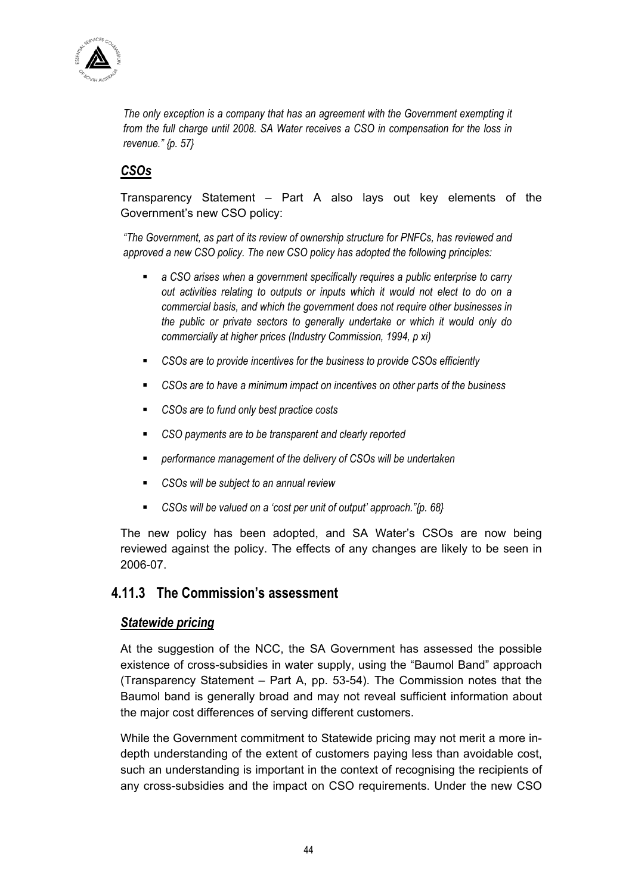

*The only exception is a company that has an agreement with the Government exempting it from the full charge until 2008. SA Water receives a CSO in compensation for the loss in revenue." {p. 57}* 

## *CSOs*

Transparency Statement – Part A also lays out key elements of the Government's new CSO policy:

*"The Government, as part of its review of ownership structure for PNFCs, has reviewed and approved a new CSO policy. The new CSO policy has adopted the following principles:* 

- *a CSO arises when a government specifically requires a public enterprise to carry out activities relating to outputs or inputs which it would not elect to do on a commercial basis, and which the government does not require other businesses in the public or private sectors to generally undertake or which it would only do commercially at higher prices (Industry Commission, 1994, p xi)*
- *CSOs are to provide incentives for the business to provide CSOs efficiently*
- *CSOs are to have a minimum impact on incentives on other parts of the business*
- *CSOs are to fund only best practice costs*
- *CSO payments are to be transparent and clearly reported*
- *performance management of the delivery of CSOs will be undertaken*
- *CSOs will be subject to an annual review*
- *CSOs will be valued on a 'cost per unit of output' approach."{p. 68}*

The new policy has been adopted, and SA Water's CSOs are now being reviewed against the policy. The effects of any changes are likely to be seen in 2006-07.

## **4.11.3 The Commission's assessment**

#### *Statewide pricing*

At the suggestion of the NCC, the SA Government has assessed the possible existence of cross-subsidies in water supply, using the "Baumol Band" approach (Transparency Statement – Part A, pp. 53-54). The Commission notes that the Baumol band is generally broad and may not reveal sufficient information about the major cost differences of serving different customers.

While the Government commitment to Statewide pricing may not merit a more indepth understanding of the extent of customers paying less than avoidable cost, such an understanding is important in the context of recognising the recipients of any cross-subsidies and the impact on CSO requirements. Under the new CSO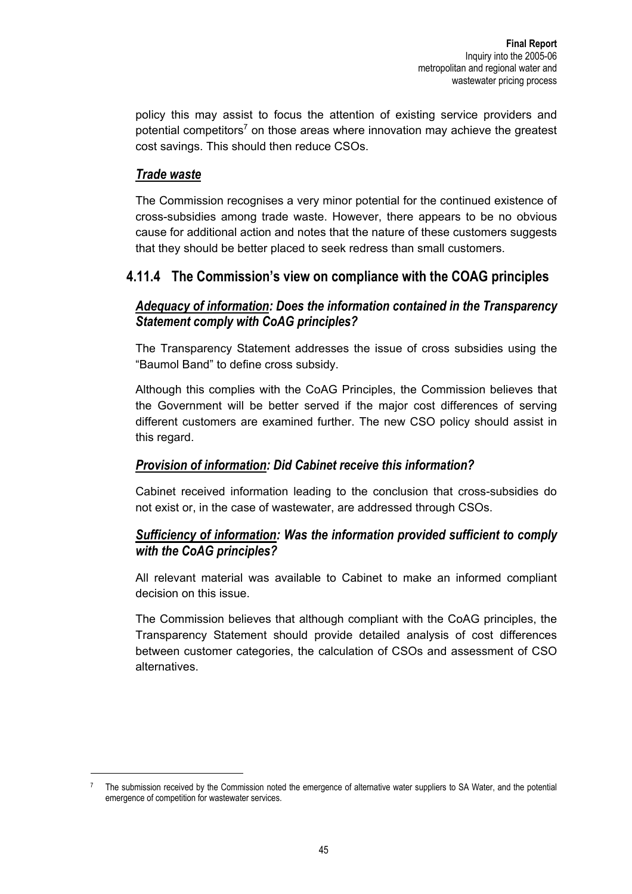policy this may assist to focus the attention of existing service providers and potential competitors<sup>7</sup> on those areas where innovation may achieve the greatest cost savings. This should then reduce CSOs.

## *Trade waste*

The Commission recognises a very minor potential for the continued existence of cross-subsidies among trade waste. However, there appears to be no obvious cause for additional action and notes that the nature of these customers suggests that they should be better placed to seek redress than small customers.

## **4.11.4 The Commission's view on compliance with the COAG principles**

## *Adequacy of information: Does the information contained in the Transparency Statement comply with CoAG principles?*

The Transparency Statement addresses the issue of cross subsidies using the "Baumol Band" to define cross subsidy.

Although this complies with the CoAG Principles, the Commission believes that the Government will be better served if the major cost differences of serving different customers are examined further. The new CSO policy should assist in this regard.

## *Provision of information: Did Cabinet receive this information?*

Cabinet received information leading to the conclusion that cross-subsidies do not exist or, in the case of wastewater, are addressed through CSOs.

## *Sufficiency of information: Was the information provided sufficient to comply with the CoAG principles?*

All relevant material was available to Cabinet to make an informed compliant decision on this issue.

The Commission believes that although compliant with the CoAG principles, the Transparency Statement should provide detailed analysis of cost differences between customer categories, the calculation of CSOs and assessment of CSO alternatives.

<sup>7</sup> The submission received by the Commission noted the emergence of alternative water suppliers to SA Water, and the potential emergence of competition for wastewater services.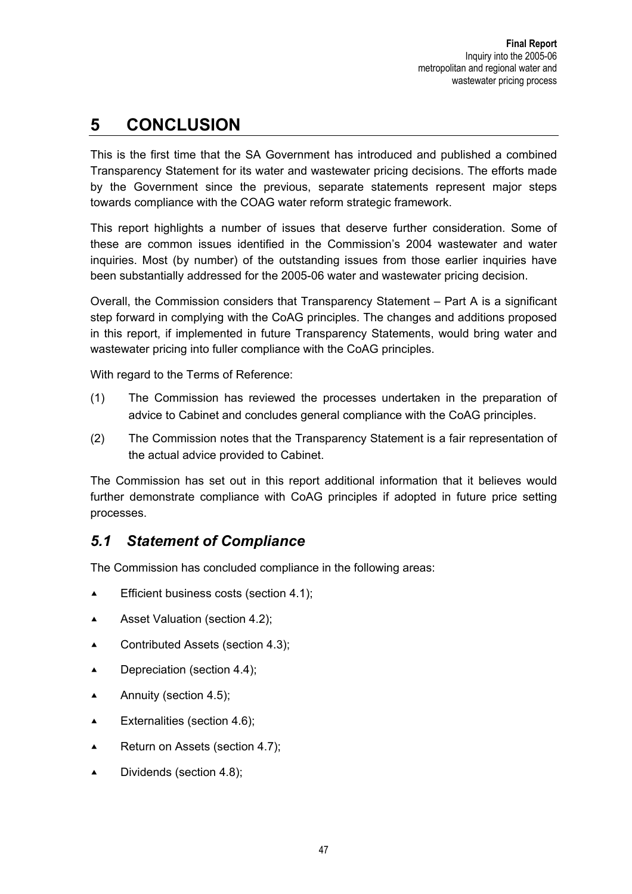# **5 CONCLUSION**

This is the first time that the SA Government has introduced and published a combined Transparency Statement for its water and wastewater pricing decisions. The efforts made by the Government since the previous, separate statements represent major steps towards compliance with the COAG water reform strategic framework.

This report highlights a number of issues that deserve further consideration. Some of these are common issues identified in the Commission's 2004 wastewater and water inquiries. Most (by number) of the outstanding issues from those earlier inquiries have been substantially addressed for the 2005-06 water and wastewater pricing decision.

Overall, the Commission considers that Transparency Statement – Part A is a significant step forward in complying with the CoAG principles. The changes and additions proposed in this report, if implemented in future Transparency Statements, would bring water and wastewater pricing into fuller compliance with the CoAG principles.

With regard to the Terms of Reference:

- (1) The Commission has reviewed the processes undertaken in the preparation of advice to Cabinet and concludes general compliance with the CoAG principles.
- (2) The Commission notes that the Transparency Statement is a fair representation of the actual advice provided to Cabinet.

The Commission has set out in this report additional information that it believes would further demonstrate compliance with CoAG principles if adopted in future price setting processes.

## *5.1 Statement of Compliance*

The Commission has concluded compliance in the following areas:

- Efficient business costs (section 4.1);
- Asset Valuation (section 4.2);
- $\blacktriangle$  Contributed Assets (section 4.3);
- $\blacktriangle$  Depreciation (section 4.4);
- Annuity (section 4.5);
- $\blacktriangle$  Externalities (section 4.6);
- **A** Return on Assets (section 4.7);
- $\blacktriangle$  Dividends (section 4.8);